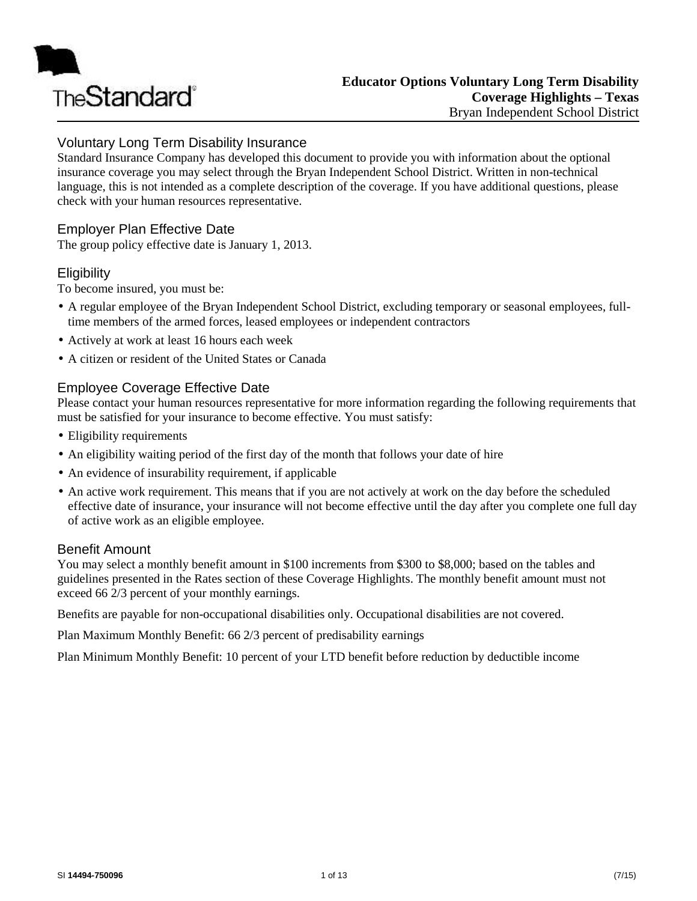

# Voluntary Long Term Disability Insurance

Standard Insurance Company has developed this document to provide you with information about the optional insurance coverage you may select through the Bryan Independent School District. Written in non-technical language, this is not intended as a complete description of the coverage. If you have additional questions, please check with your human resources representative.

## Employer Plan Effective Date

The group policy effective date is January 1, 2013.

### **Eligibility**

To become insured, you must be:

- A regular employee of the Bryan Independent School District, excluding temporary or seasonal employees, fulltime members of the armed forces, leased employees or independent contractors
- Actively at work at least 16 hours each week
- A citizen or resident of the United States or Canada

## Employee Coverage Effective Date

Please contact your human resources representative for more information regarding the following requirements that must be satisfied for your insurance to become effective. You must satisfy:

- Eligibility requirements
- An eligibility waiting period of the first day of the month that follows your date of hire
- An evidence of insurability requirement, if applicable
- An active work requirement. This means that if you are not actively at work on the day before the scheduled effective date of insurance, your insurance will not become effective until the day after you complete one full day of active work as an eligible employee.

### Benefit Amount

You may select a monthly benefit amount in \$100 increments from \$300 to \$8,000; based on the tables and guidelines presented in the Rates section of these Coverage Highlights. The monthly benefit amount must not exceed 66 2/3 percent of your monthly earnings.

Benefits are payable for non-occupational disabilities only. Occupational disabilities are not covered.

Plan Maximum Monthly Benefit: 66 2/3 percent of predisability earnings

Plan Minimum Monthly Benefit: 10 percent of your LTD benefit before reduction by deductible income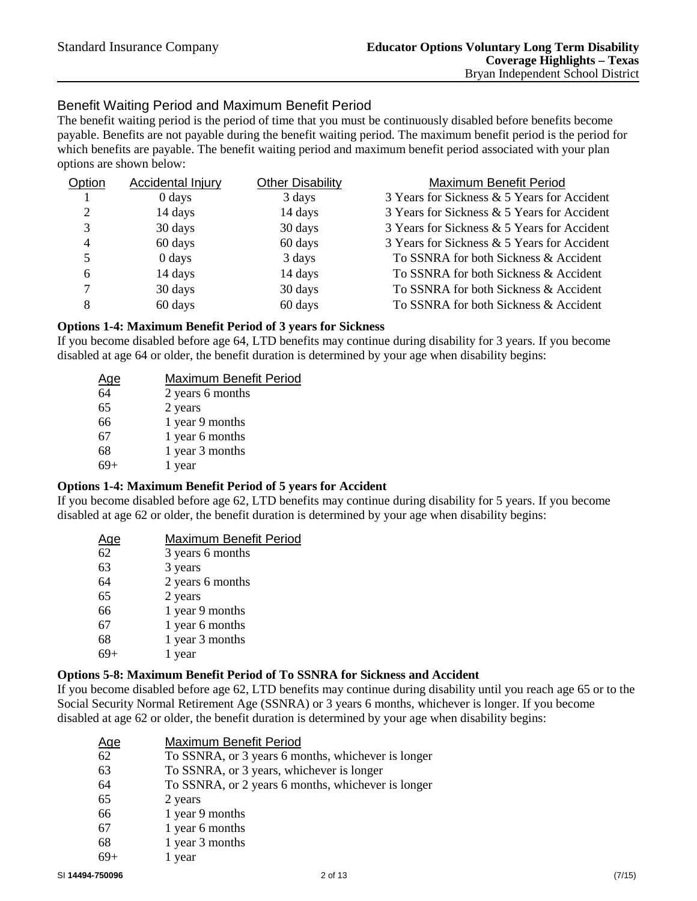# Benefit Waiting Period and Maximum Benefit Period

The benefit waiting period is the period of time that you must be continuously disabled before benefits become payable. Benefits are not payable during the benefit waiting period. The maximum benefit period is the period for which benefits are payable. The benefit waiting period and maximum benefit period associated with your plan options are shown below:

| Option | Accidental Injury  | <b>Other Disability</b> | Maximum Benefit Period                      |
|--------|--------------------|-------------------------|---------------------------------------------|
|        | $0 \, \text{days}$ | 3 days                  | 3 Years for Sickness & 5 Years for Accident |
| 2      | 14 days            | 14 days                 | 3 Years for Sickness & 5 Years for Accident |
| 3      | 30 days            | 30 days                 | 3 Years for Sickness & 5 Years for Accident |
| 4      | 60 days            | 60 days                 | 3 Years for Sickness & 5 Years for Accident |
| 5      | $0 \, \text{days}$ | 3 days                  | To SSNRA for both Sickness & Accident       |
| 6      | 14 days            | 14 days                 | To SSNRA for both Sickness & Accident       |
| 7      | 30 days            | 30 days                 | To SSNRA for both Sickness & Accident       |
| 8      | 60 days            | 60 days                 | To SSNRA for both Sickness & Accident       |

#### **Options 1-4: Maximum Benefit Period of 3 years for Sickness**

If you become disabled before age 64, LTD benefits may continue during disability for 3 years. If you become disabled at age 64 or older, the benefit duration is determined by your age when disability begins:

| <u>Age</u> | Maximum Benefit Period |
|------------|------------------------|
| 64         | 2 years 6 months       |
| 65         | 2 years                |
| 66         | 1 year 9 months        |
| 67         | 1 year 6 months        |
| 68         | 1 year 3 months        |
|            | 1 year                 |
|            |                        |

### **Options 1-4: Maximum Benefit Period of 5 years for Accident**

If you become disabled before age 62, LTD benefits may continue during disability for 5 years. If you become disabled at age 62 or older, the benefit duration is determined by your age when disability begins:

| <u>Age</u> | Maximum Benefit Period |
|------------|------------------------|
| 62         | 3 years 6 months       |
| 63         | 3 years                |
| 64         | 2 years 6 months       |
| 65         | 2 years                |
| 66         | 1 year 9 months        |
| 67         | 1 year 6 months        |
| 68         | 1 year 3 months        |
|            | 1 year                 |
|            |                        |

#### **Options 5-8: Maximum Benefit Period of To SSNRA for Sickness and Accident**

If you become disabled before age 62, LTD benefits may continue during disability until you reach age 65 or to the Social Security Normal Retirement Age (SSNRA) or 3 years 6 months, whichever is longer. If you become disabled at age 62 or older, the benefit duration is determined by your age when disability begins:

| <u>Age</u> | Maximum Benefit Period                             |
|------------|----------------------------------------------------|
| 62         | To SSNRA, or 3 years 6 months, whichever is longer |
| 63         | To SSNRA, or 3 years, whichever is longer          |
| 64         | To SSNRA, or 2 years 6 months, whichever is longer |
| 65         | 2 years                                            |
| 66         | 1 year 9 months                                    |
| 67         | 1 year 6 months                                    |
| 68         | 1 year 3 months                                    |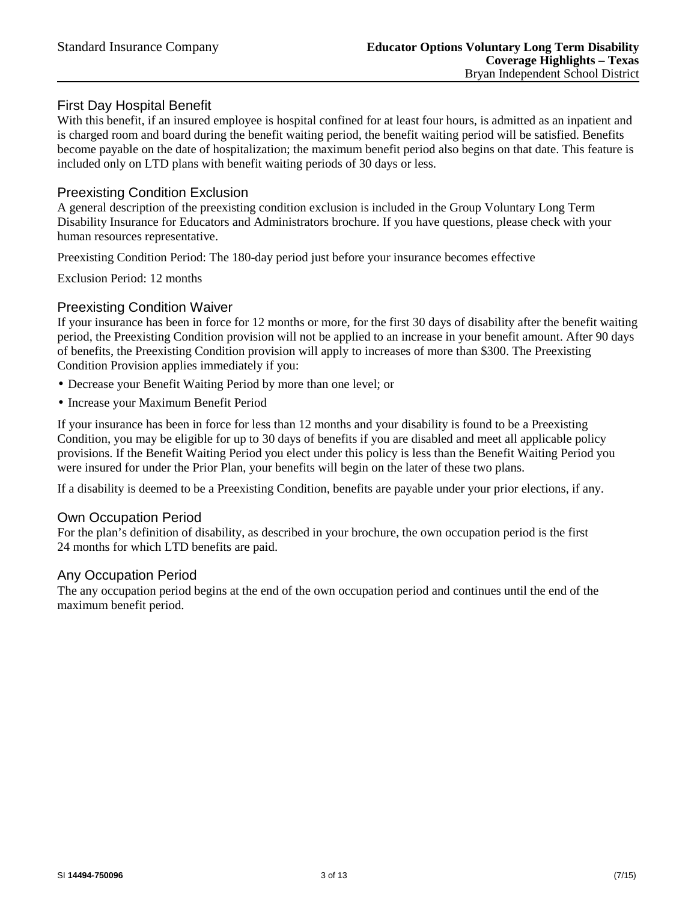## First Day Hospital Benefit

With this benefit, if an insured employee is hospital confined for at least four hours, is admitted as an inpatient and is charged room and board during the benefit waiting period, the benefit waiting period will be satisfied. Benefits become payable on the date of hospitalization; the maximum benefit period also begins on that date. This feature is included only on LTD plans with benefit waiting periods of 30 days or less.

### Preexisting Condition Exclusion

A general description of the preexisting condition exclusion is included in the Group Voluntary Long Term Disability Insurance for Educators and Administrators brochure. If you have questions, please check with your human resources representative.

Preexisting Condition Period: The 180-day period just before your insurance becomes effective

Exclusion Period: 12 months

### Preexisting Condition Waiver

If your insurance has been in force for 12 months or more, for the first 30 days of disability after the benefit waiting period, the Preexisting Condition provision will not be applied to an increase in your benefit amount. After 90 days of benefits, the Preexisting Condition provision will apply to increases of more than \$300. The Preexisting Condition Provision applies immediately if you:

- Decrease your Benefit Waiting Period by more than one level; or
- Increase your Maximum Benefit Period

If your insurance has been in force for less than 12 months and your disability is found to be a Preexisting Condition, you may be eligible for up to 30 days of benefits if you are disabled and meet all applicable policy provisions. If the Benefit Waiting Period you elect under this policy is less than the Benefit Waiting Period you were insured for under the Prior Plan, your benefits will begin on the later of these two plans.

If a disability is deemed to be a Preexisting Condition, benefits are payable under your prior elections, if any.

### Own Occupation Period

For the plan's definition of disability, as described in your brochure, the own occupation period is the first 24 months for which LTD benefits are paid.

### Any Occupation Period

The any occupation period begins at the end of the own occupation period and continues until the end of the maximum benefit period.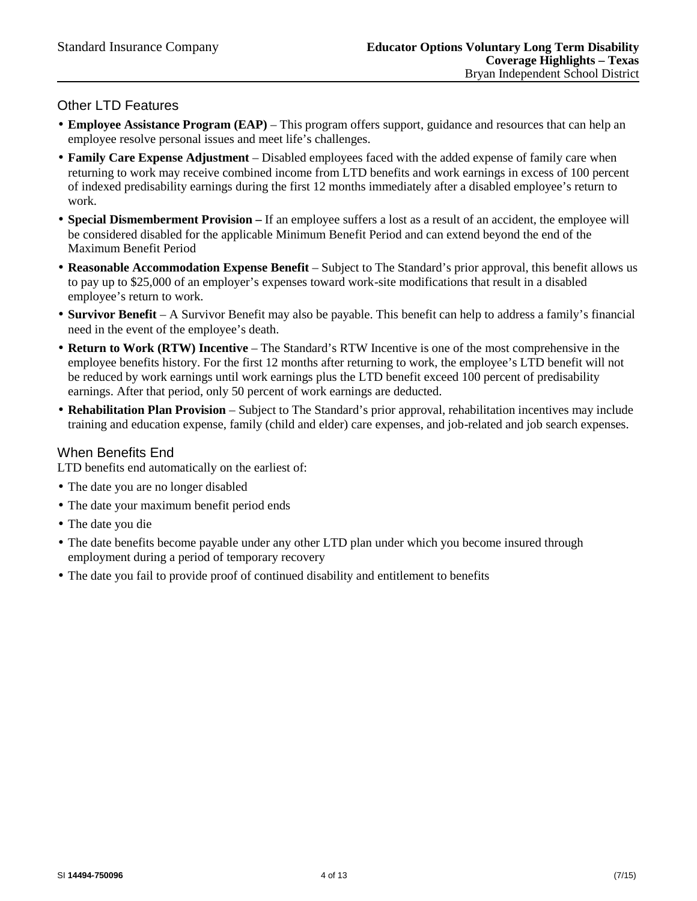## Other LTD Features

- **Employee Assistance Program (EAP)** This program offers support, guidance and resources that can help an employee resolve personal issues and meet life's challenges.
- **Family Care Expense Adjustment** Disabled employees faced with the added expense of family care when returning to work may receive combined income from LTD benefits and work earnings in excess of 100 percent of indexed predisability earnings during the first 12 months immediately after a disabled employee's return to work.
- **Special Dismemberment Provision –** If an employee suffers a lost as a result of an accident, the employee will be considered disabled for the applicable Minimum Benefit Period and can extend beyond the end of the Maximum Benefit Period
- **Reasonable Accommodation Expense Benefit** Subject to The Standard's prior approval, this benefit allows us to pay up to \$25,000 of an employer's expenses toward work-site modifications that result in a disabled employee's return to work.
- **Survivor Benefit** A Survivor Benefit may also be payable. This benefit can help to address a family's financial need in the event of the employee's death.
- **Return to Work (RTW) Incentive** The Standard's RTW Incentive is one of the most comprehensive in the employee benefits history. For the first 12 months after returning to work, the employee's LTD benefit will not be reduced by work earnings until work earnings plus the LTD benefit exceed 100 percent of predisability earnings. After that period, only 50 percent of work earnings are deducted.
- **Rehabilitation Plan Provision** Subject to The Standard's prior approval, rehabilitation incentives may include training and education expense, family (child and elder) care expenses, and job-related and job search expenses.

## When Benefits End

LTD benefits end automatically on the earliest of:

- The date you are no longer disabled
- The date your maximum benefit period ends
- The date you die
- The date benefits become payable under any other LTD plan under which you become insured through employment during a period of temporary recovery
- The date you fail to provide proof of continued disability and entitlement to benefits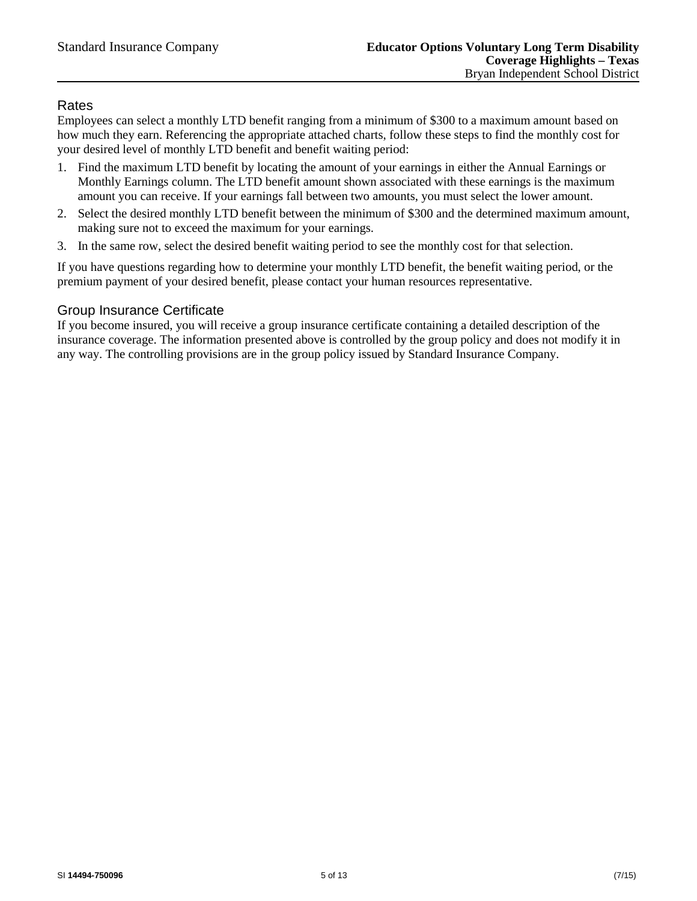## Rates

Employees can select a monthly LTD benefit ranging from a minimum of \$300 to a maximum amount based on how much they earn. Referencing the appropriate attached charts, follow these steps to find the monthly cost for your desired level of monthly LTD benefit and benefit waiting period:

- 1. Find the maximum LTD benefit by locating the amount of your earnings in either the Annual Earnings or Monthly Earnings column. The LTD benefit amount shown associated with these earnings is the maximum amount you can receive. If your earnings fall between two amounts, you must select the lower amount.
- 2. Select the desired monthly LTD benefit between the minimum of \$300 and the determined maximum amount, making sure not to exceed the maximum for your earnings.
- 3. In the same row, select the desired benefit waiting period to see the monthly cost for that selection.

If you have questions regarding how to determine your monthly LTD benefit, the benefit waiting period, or the premium payment of your desired benefit, please contact your human resources representative.

## Group Insurance Certificate

If you become insured, you will receive a group insurance certificate containing a detailed description of the insurance coverage. The information presented above is controlled by the group policy and does not modify it in any way. The controlling provisions are in the group policy issued by Standard Insurance Company.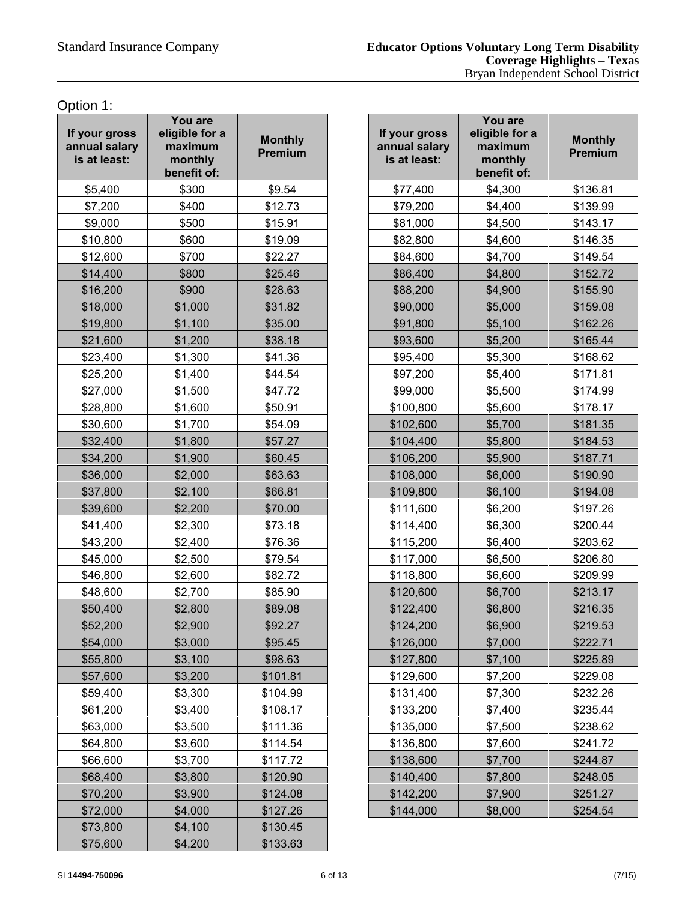Option 1:

| If your gross<br>annual salary<br>is at least: | You are<br>eligible for a<br>maximum<br>monthly<br>benefit of: | <b>Monthly</b><br>Premium |  |
|------------------------------------------------|----------------------------------------------------------------|---------------------------|--|
| \$5,400                                        | \$300                                                          | \$9.54                    |  |
| \$7,200                                        | \$400                                                          | \$12.73                   |  |
| \$9,000                                        | \$500                                                          | \$15.91                   |  |
| \$10,800                                       | \$600                                                          | \$19.09                   |  |
| \$12,600                                       | \$700                                                          | \$22.27                   |  |
| \$14,400                                       | \$800                                                          | \$25.46                   |  |
| \$16,200                                       | \$900                                                          | \$28.63                   |  |
| \$18,000                                       | \$1,000                                                        | \$31.82                   |  |
| \$19,800                                       | \$1,100                                                        | \$35.00                   |  |
| \$21,600                                       | \$1,200                                                        | \$38.18                   |  |
| \$23,400                                       | \$1,300                                                        | \$41.36                   |  |
| \$25,200                                       | \$1,400                                                        | \$44.54                   |  |
| \$27,000                                       | \$1,500                                                        | \$47.72                   |  |
| \$28,800                                       | \$1,600                                                        | \$50.91                   |  |
| \$30,600                                       | \$1,700                                                        | \$54.09                   |  |
| \$32,400                                       | \$1,800                                                        | \$57.27                   |  |
| \$34,200                                       | \$1,900                                                        | \$60.45                   |  |
| \$36,000                                       | \$2,000                                                        | \$63.63                   |  |
| \$37,800                                       | \$2,100                                                        | \$66.81                   |  |
| \$39,600                                       | \$2,200                                                        | \$70.00                   |  |
| \$41,400                                       | \$2,300                                                        | \$73.18                   |  |
| \$43,200                                       | \$2,400                                                        | \$76.36                   |  |
| \$45,000                                       | \$2,500                                                        | \$79.54                   |  |
| \$46,800                                       | \$2,600                                                        | \$82.72                   |  |
| \$48,600                                       | \$2,700                                                        | \$85.90                   |  |
| \$50,400                                       | \$2,800                                                        | \$89.08                   |  |
| \$52,200                                       | \$2,900                                                        | \$92.27                   |  |
| \$54,000                                       | \$3,000                                                        | \$95.45                   |  |
| \$55,800                                       | \$3,100                                                        | \$98.63                   |  |
| \$57,600                                       | \$3,200                                                        | \$101.81                  |  |
| \$59,400                                       | \$3,300                                                        | \$104.99                  |  |
| \$61,200                                       | \$3,400                                                        | \$108.17                  |  |
| \$63,000                                       | \$3,500                                                        | \$111.36                  |  |
| \$64,800                                       | \$3,600                                                        | \$114.54                  |  |
| \$66,600                                       | \$3,700                                                        | \$117.72                  |  |
| \$68,400                                       | \$3,800                                                        | \$120.90                  |  |
| \$70,200                                       | \$3,900                                                        | \$124.08                  |  |
| \$72,000                                       | \$4,000                                                        | \$127.26                  |  |
| \$73,800                                       | \$4,100                                                        | \$130.45                  |  |
| \$75,600                                       | \$4,200                                                        | \$133.63                  |  |

| our gross<br><b>nual salary</b><br>at least: | You are<br>eligible for a<br>maximum<br>monthly<br>benefit of: | <b>Monthly</b><br>Premium | If your gross<br>annual salary<br>is at least: | You are<br>eligible for a<br>maximum<br>monthly<br>benefit of: | <b>Monthly</b><br>Premium |
|----------------------------------------------|----------------------------------------------------------------|---------------------------|------------------------------------------------|----------------------------------------------------------------|---------------------------|
| \$5,400                                      | \$300                                                          | \$9.54                    | \$77,400                                       | \$4,300                                                        | \$136.81                  |
| \$7,200                                      | \$400                                                          | \$12.73                   | \$79,200                                       | \$4,400                                                        | \$139.99                  |
| \$9,000                                      | \$500                                                          | \$15.91                   | \$81,000                                       | \$4,500                                                        | \$143.17                  |
| \$10,800                                     | \$600                                                          | \$19.09                   | \$82,800                                       | \$4,600                                                        | \$146.35                  |
| \$12,600                                     | \$700                                                          | \$22.27                   | \$84,600                                       | \$4,700                                                        | \$149.54                  |
| \$14,400                                     | \$800                                                          | \$25.46                   | \$86,400                                       | \$4,800                                                        | \$152.72                  |
| \$16,200                                     | \$900                                                          | \$28.63                   | \$88,200                                       | \$4,900                                                        | \$155.90                  |
| \$18,000                                     | \$1,000                                                        | \$31.82                   | \$90,000                                       | \$5,000                                                        | \$159.08                  |
| \$19,800                                     | \$1,100                                                        | \$35.00                   | \$91,800                                       | \$5,100                                                        | \$162.26                  |
| \$21,600                                     | \$1,200                                                        | \$38.18                   | \$93,600                                       | \$5,200                                                        | \$165.44                  |
| \$23,400                                     | \$1,300                                                        | \$41.36                   | \$95,400                                       | \$5,300                                                        | \$168.62                  |
| \$25,200                                     | \$1,400                                                        | \$44.54                   | \$97,200                                       | \$5,400                                                        | \$171.81                  |
| \$27,000                                     | \$1,500                                                        | \$47.72                   | \$99,000                                       | \$5,500                                                        | \$174.99                  |
| \$28,800                                     | \$1,600                                                        | \$50.91                   | \$100,800                                      | \$5,600                                                        | \$178.17                  |
| \$30,600                                     | \$1,700                                                        | \$54.09                   | \$102,600                                      | \$5,700                                                        | \$181.35                  |
| \$32,400                                     | \$1,800                                                        | \$57.27                   | \$104,400                                      | \$5,800                                                        | \$184.53                  |
| \$34,200                                     | \$1,900                                                        | \$60.45                   | \$106,200                                      | \$5,900                                                        | \$187.71                  |
| \$36,000                                     | \$2,000                                                        | \$63.63                   | \$108,000                                      | \$6,000                                                        | \$190.90                  |
| \$37,800                                     | \$2,100                                                        | \$66.81                   | \$109,800                                      | \$6,100                                                        | \$194.08                  |
| \$39,600                                     | \$2,200                                                        | \$70.00                   | \$111,600                                      | \$6,200                                                        | \$197.26                  |
| \$41,400                                     | \$2,300                                                        | \$73.18                   | \$114,400                                      | \$6,300                                                        | \$200.44                  |
| \$43,200                                     | \$2,400                                                        | \$76.36                   | \$115,200                                      | \$6,400                                                        | \$203.62                  |
| \$45,000                                     | \$2,500                                                        | \$79.54                   | \$117,000                                      | \$6,500                                                        | \$206.80                  |
| \$46,800                                     | \$2,600                                                        | \$82.72                   | \$118,800                                      | \$6,600                                                        | \$209.99                  |
| \$48,600                                     | \$2,700                                                        | \$85.90                   | \$120,600                                      | \$6,700                                                        | \$213.17                  |
| \$50,400                                     | \$2,800                                                        | \$89.08                   | \$122,400                                      | \$6,800                                                        | \$216.35                  |
| \$52,200                                     | \$2,900                                                        | \$92.27                   | \$124,200                                      | \$6,900                                                        | \$219.53                  |
| \$54,000                                     | \$3,000                                                        | \$95.45                   | \$126,000                                      | \$7,000                                                        | \$222.71                  |
| \$55,800                                     | \$3,100                                                        | \$98.63                   | \$127,800                                      | \$7,100                                                        | \$225.89                  |
| \$57,600                                     | \$3,200                                                        | \$101.81                  | \$129,600                                      | \$7,200                                                        | \$229.08                  |
| \$59,400                                     | \$3,300                                                        | \$104.99                  | \$131,400                                      | \$7,300                                                        | \$232.26                  |
| \$61,200                                     | \$3,400                                                        | \$108.17                  | \$133,200                                      | \$7,400                                                        | \$235.44                  |
| \$63,000                                     | \$3,500                                                        | \$111.36                  | \$135,000                                      | \$7,500                                                        | \$238.62                  |
| \$64,800                                     | \$3,600                                                        | \$114.54                  | \$136,800                                      | \$7,600                                                        | \$241.72                  |
| \$66,600                                     | \$3,700                                                        | \$117.72                  | \$138,600                                      | \$7,700                                                        | \$244.87                  |
| \$68,400                                     | \$3,800                                                        | \$120.90                  | \$140,400                                      | \$7,800                                                        | \$248.05                  |
| \$70,200                                     | \$3,900                                                        | \$124.08                  | \$142,200                                      | \$7,900                                                        | \$251.27                  |
| \$72,000                                     | \$4,000                                                        | \$127.26                  | \$144,000                                      | \$8,000                                                        | \$254.54                  |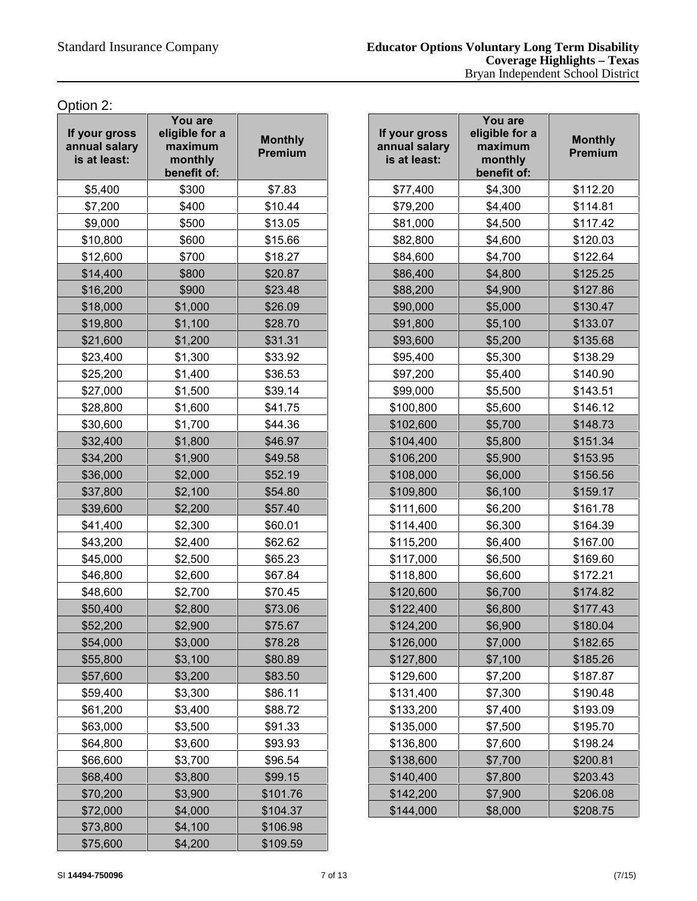Option 2:

| If your gross<br>annual salary<br>is at least: | You are<br>eligible for a<br>maximum<br>monthly<br>benefit of: | <b>Monthly</b><br><b>Premium</b> |  |
|------------------------------------------------|----------------------------------------------------------------|----------------------------------|--|
| \$5,400                                        | \$300                                                          | \$7.83                           |  |
| \$7,200                                        | \$400                                                          | \$10.44                          |  |
| \$9,000                                        | \$500                                                          | \$13.05                          |  |
| \$10,800                                       | \$600                                                          | \$15.66                          |  |
| \$12,600                                       | \$700                                                          | \$18.27                          |  |
| \$14,400                                       | \$800                                                          | \$20.87                          |  |
| \$16,200                                       | \$900                                                          | \$23.48                          |  |
| \$18,000                                       | \$1,000                                                        | \$26.09                          |  |
| \$19,800                                       | \$1,100                                                        | \$28.70                          |  |
| \$21,600                                       | \$1,200                                                        | \$31.31                          |  |
| \$23,400                                       | \$1,300                                                        | \$33.92                          |  |
| \$25,200                                       | \$1,400                                                        | \$36.53                          |  |
| \$27,000                                       | \$1,500                                                        | \$39.14                          |  |
| \$28,800                                       | \$1,600                                                        | \$41.75                          |  |
| \$30,600                                       | \$1,700                                                        | \$44.36                          |  |
| \$32,400                                       | \$1,800                                                        | \$46.97                          |  |
| \$34,200                                       | \$1,900                                                        | \$49.58                          |  |
| \$36,000                                       | \$2,000                                                        | \$52.19                          |  |
| \$37,800                                       | \$2,100                                                        | \$54.80                          |  |
| \$39,600                                       | \$2,200                                                        | \$57.40                          |  |
| \$41,400                                       | \$2,300                                                        | \$60.01                          |  |
| \$43,200                                       | \$2,400                                                        | \$62.62                          |  |
| \$45,000                                       | \$2,500                                                        | \$65.23                          |  |
| \$46,800                                       | \$2,600                                                        | \$67.84                          |  |
| \$48,600                                       | \$2,700                                                        | \$70.45                          |  |
| \$50,400                                       | \$2,800                                                        | \$73.06                          |  |
| \$52,200                                       | \$2,900                                                        | \$75.67                          |  |
| \$54,000                                       | \$3,000                                                        | \$78.28                          |  |
| \$55,800                                       | \$3,100                                                        | \$80.89                          |  |
| \$57,600                                       | \$3,200                                                        | \$83.50                          |  |
| \$59,400                                       | \$3,300                                                        | \$86.11                          |  |
| \$61,200                                       | \$3,400                                                        | \$88.72                          |  |
| \$63,000                                       | \$3,500                                                        | \$91.33                          |  |
| \$64,800                                       | \$3,600                                                        | \$93.93                          |  |
| \$66,600                                       | \$3,700                                                        | \$96.54                          |  |
| \$68,400                                       | \$3,800                                                        | \$99.15                          |  |
| \$70,200                                       | \$3,900                                                        | \$101.76                         |  |
| \$72,000                                       | \$4,000                                                        | \$104.37                         |  |
| \$73,800                                       | \$4,100                                                        | \$106.98                         |  |
| \$75,600                                       | \$4,200                                                        | \$109.59                         |  |

| \$300<br>\$7.83<br>\$112.20<br>\$77,400<br>\$4,300<br>\$114.81<br>\$400<br>\$10.44<br>\$79,200<br>\$4,400<br>\$500<br>\$13.05<br>\$81,000<br>\$117.42<br>\$4,500<br>\$600<br>\$15.66<br>\$82,800<br>\$4,600<br>\$120.03<br>\$4,700<br>\$700<br>\$18.27<br>\$84,600<br>\$122.64<br>\$800<br>\$20.87<br>\$86,400<br>\$4,800<br>\$125.25<br>\$900<br>\$23.48<br>\$88,200<br>\$4,900<br>\$127.86<br>\$1,000<br>\$26.09<br>\$90,000<br>\$5,000<br>\$130.47<br>\$1,100<br>\$28.70<br>\$91,800<br>\$5,100<br>\$133.07<br>\$1,200<br>\$31.31<br>\$93,600<br>\$5,200<br>\$135.68<br>\$33.92<br>\$138.29<br>\$1,300<br>\$95,400<br>\$5,300<br>\$36.53<br>\$97,200<br>\$5,400<br>\$1,400<br>\$140.90<br>\$1,500<br>\$39.14<br>\$99,000<br>\$5,500<br>\$143.51<br>\$1,600<br>\$41.75<br>\$100,800<br>\$5,600<br>\$146.12<br>\$1,700<br>\$44.36<br>\$102,600<br>\$5,700<br>\$148.73<br>\$46.97<br>\$5,800<br>\$151.34<br>\$1,800<br>\$104,400<br>\$106,200<br>\$1,900<br>\$49.58<br>\$5,900<br>\$153.95<br>\$108,000<br>\$6,000<br>\$2,000<br>\$52.19<br>\$156.56<br>\$2,100<br>\$109,800<br>\$6,100<br>\$54.80<br>\$159.17<br>\$6,200<br>\$2,200<br>\$57.40<br>\$111,600<br>\$161.78<br>\$164.39<br>\$2,300<br>\$60.01<br>\$114,400<br>\$6,300<br>\$6,400<br>\$2,400<br>\$62.62<br>\$115,200<br>\$167.00<br>\$2,500<br>\$65.23<br>\$117,000<br>\$6,500<br>\$169.60<br>\$2,600<br>\$67.84<br>\$118,800<br>\$6,600<br>\$172.21<br>\$2,700<br>\$70.45<br>\$120,600<br>\$6,700<br>\$174.82<br>\$2,800<br>\$73.06<br>\$122,400<br>\$6,800<br>\$177.43<br>\$2,900<br>\$6,900<br>\$75.67<br>\$124,200<br>\$180.04<br>\$3,000<br>\$78.28<br>\$126,000<br>\$7,000<br>\$182.65<br>\$7,100<br>\$185.26<br>\$3,100<br>\$80.89<br>\$127,800<br>\$3,200<br>\$83.50<br>\$129,600<br>\$7,200<br>\$187.87<br>\$3,300<br>\$86.11<br>\$131,400<br>\$7,300<br>\$190.48<br>\$3,400<br>\$88.72<br>\$133,200<br>\$7,400<br>\$193.09<br>\$91.33<br>\$7,500<br>\$3,500<br>\$135,000<br>\$195.70<br>\$3,600<br>\$93.93<br>\$136,800<br>\$7,600<br>\$198.24<br>\$3,700<br>\$96.54<br>\$138,600<br>\$7,700<br>\$200.81<br>\$3,800<br>\$99.15<br>\$140,400<br>\$7,800<br>\$203.43<br>\$101.76<br>\$142,200<br>\$7,900<br>\$206.08<br>\$3,900 | our gross<br><b>nual salary</b><br>at least: | You are<br>eligible for a<br>maximum<br>monthly<br>benefit of: | <b>Monthly</b><br>Premium | If your gross<br>annual salary<br>is at least: | You are<br>eligible for a<br>maximum<br>monthly<br>benefit of: | <b>Monthly</b><br>Premium |
|-----------------------------------------------------------------------------------------------------------------------------------------------------------------------------------------------------------------------------------------------------------------------------------------------------------------------------------------------------------------------------------------------------------------------------------------------------------------------------------------------------------------------------------------------------------------------------------------------------------------------------------------------------------------------------------------------------------------------------------------------------------------------------------------------------------------------------------------------------------------------------------------------------------------------------------------------------------------------------------------------------------------------------------------------------------------------------------------------------------------------------------------------------------------------------------------------------------------------------------------------------------------------------------------------------------------------------------------------------------------------------------------------------------------------------------------------------------------------------------------------------------------------------------------------------------------------------------------------------------------------------------------------------------------------------------------------------------------------------------------------------------------------------------------------------------------------------------------------------------------------------------------------------------------------------------------------------------------------------------------------------------------------------------------------------------------------------------------------------------------------------------------------------------------------------------------------------|----------------------------------------------|----------------------------------------------------------------|---------------------------|------------------------------------------------|----------------------------------------------------------------|---------------------------|
|                                                                                                                                                                                                                                                                                                                                                                                                                                                                                                                                                                                                                                                                                                                                                                                                                                                                                                                                                                                                                                                                                                                                                                                                                                                                                                                                                                                                                                                                                                                                                                                                                                                                                                                                                                                                                                                                                                                                                                                                                                                                                                                                                                                                     | \$5,400                                      |                                                                |                           |                                                |                                                                |                           |
|                                                                                                                                                                                                                                                                                                                                                                                                                                                                                                                                                                                                                                                                                                                                                                                                                                                                                                                                                                                                                                                                                                                                                                                                                                                                                                                                                                                                                                                                                                                                                                                                                                                                                                                                                                                                                                                                                                                                                                                                                                                                                                                                                                                                     | \$7,200                                      |                                                                |                           |                                                |                                                                |                           |
|                                                                                                                                                                                                                                                                                                                                                                                                                                                                                                                                                                                                                                                                                                                                                                                                                                                                                                                                                                                                                                                                                                                                                                                                                                                                                                                                                                                                                                                                                                                                                                                                                                                                                                                                                                                                                                                                                                                                                                                                                                                                                                                                                                                                     | \$9,000                                      |                                                                |                           |                                                |                                                                |                           |
|                                                                                                                                                                                                                                                                                                                                                                                                                                                                                                                                                                                                                                                                                                                                                                                                                                                                                                                                                                                                                                                                                                                                                                                                                                                                                                                                                                                                                                                                                                                                                                                                                                                                                                                                                                                                                                                                                                                                                                                                                                                                                                                                                                                                     | \$10,800                                     |                                                                |                           |                                                |                                                                |                           |
|                                                                                                                                                                                                                                                                                                                                                                                                                                                                                                                                                                                                                                                                                                                                                                                                                                                                                                                                                                                                                                                                                                                                                                                                                                                                                                                                                                                                                                                                                                                                                                                                                                                                                                                                                                                                                                                                                                                                                                                                                                                                                                                                                                                                     | \$12,600                                     |                                                                |                           |                                                |                                                                |                           |
|                                                                                                                                                                                                                                                                                                                                                                                                                                                                                                                                                                                                                                                                                                                                                                                                                                                                                                                                                                                                                                                                                                                                                                                                                                                                                                                                                                                                                                                                                                                                                                                                                                                                                                                                                                                                                                                                                                                                                                                                                                                                                                                                                                                                     | \$14,400                                     |                                                                |                           |                                                |                                                                |                           |
|                                                                                                                                                                                                                                                                                                                                                                                                                                                                                                                                                                                                                                                                                                                                                                                                                                                                                                                                                                                                                                                                                                                                                                                                                                                                                                                                                                                                                                                                                                                                                                                                                                                                                                                                                                                                                                                                                                                                                                                                                                                                                                                                                                                                     | \$16,200                                     |                                                                |                           |                                                |                                                                |                           |
|                                                                                                                                                                                                                                                                                                                                                                                                                                                                                                                                                                                                                                                                                                                                                                                                                                                                                                                                                                                                                                                                                                                                                                                                                                                                                                                                                                                                                                                                                                                                                                                                                                                                                                                                                                                                                                                                                                                                                                                                                                                                                                                                                                                                     | \$18,000                                     |                                                                |                           |                                                |                                                                |                           |
|                                                                                                                                                                                                                                                                                                                                                                                                                                                                                                                                                                                                                                                                                                                                                                                                                                                                                                                                                                                                                                                                                                                                                                                                                                                                                                                                                                                                                                                                                                                                                                                                                                                                                                                                                                                                                                                                                                                                                                                                                                                                                                                                                                                                     | \$19,800                                     |                                                                |                           |                                                |                                                                |                           |
|                                                                                                                                                                                                                                                                                                                                                                                                                                                                                                                                                                                                                                                                                                                                                                                                                                                                                                                                                                                                                                                                                                                                                                                                                                                                                                                                                                                                                                                                                                                                                                                                                                                                                                                                                                                                                                                                                                                                                                                                                                                                                                                                                                                                     | \$21,600                                     |                                                                |                           |                                                |                                                                |                           |
|                                                                                                                                                                                                                                                                                                                                                                                                                                                                                                                                                                                                                                                                                                                                                                                                                                                                                                                                                                                                                                                                                                                                                                                                                                                                                                                                                                                                                                                                                                                                                                                                                                                                                                                                                                                                                                                                                                                                                                                                                                                                                                                                                                                                     | \$23,400                                     |                                                                |                           |                                                |                                                                |                           |
|                                                                                                                                                                                                                                                                                                                                                                                                                                                                                                                                                                                                                                                                                                                                                                                                                                                                                                                                                                                                                                                                                                                                                                                                                                                                                                                                                                                                                                                                                                                                                                                                                                                                                                                                                                                                                                                                                                                                                                                                                                                                                                                                                                                                     | \$25,200                                     |                                                                |                           |                                                |                                                                |                           |
|                                                                                                                                                                                                                                                                                                                                                                                                                                                                                                                                                                                                                                                                                                                                                                                                                                                                                                                                                                                                                                                                                                                                                                                                                                                                                                                                                                                                                                                                                                                                                                                                                                                                                                                                                                                                                                                                                                                                                                                                                                                                                                                                                                                                     | \$27,000                                     |                                                                |                           |                                                |                                                                |                           |
|                                                                                                                                                                                                                                                                                                                                                                                                                                                                                                                                                                                                                                                                                                                                                                                                                                                                                                                                                                                                                                                                                                                                                                                                                                                                                                                                                                                                                                                                                                                                                                                                                                                                                                                                                                                                                                                                                                                                                                                                                                                                                                                                                                                                     | \$28,800                                     |                                                                |                           |                                                |                                                                |                           |
|                                                                                                                                                                                                                                                                                                                                                                                                                                                                                                                                                                                                                                                                                                                                                                                                                                                                                                                                                                                                                                                                                                                                                                                                                                                                                                                                                                                                                                                                                                                                                                                                                                                                                                                                                                                                                                                                                                                                                                                                                                                                                                                                                                                                     | \$30,600                                     |                                                                |                           |                                                |                                                                |                           |
|                                                                                                                                                                                                                                                                                                                                                                                                                                                                                                                                                                                                                                                                                                                                                                                                                                                                                                                                                                                                                                                                                                                                                                                                                                                                                                                                                                                                                                                                                                                                                                                                                                                                                                                                                                                                                                                                                                                                                                                                                                                                                                                                                                                                     | \$32,400                                     |                                                                |                           |                                                |                                                                |                           |
|                                                                                                                                                                                                                                                                                                                                                                                                                                                                                                                                                                                                                                                                                                                                                                                                                                                                                                                                                                                                                                                                                                                                                                                                                                                                                                                                                                                                                                                                                                                                                                                                                                                                                                                                                                                                                                                                                                                                                                                                                                                                                                                                                                                                     | \$34,200                                     |                                                                |                           |                                                |                                                                |                           |
|                                                                                                                                                                                                                                                                                                                                                                                                                                                                                                                                                                                                                                                                                                                                                                                                                                                                                                                                                                                                                                                                                                                                                                                                                                                                                                                                                                                                                                                                                                                                                                                                                                                                                                                                                                                                                                                                                                                                                                                                                                                                                                                                                                                                     | \$36,000                                     |                                                                |                           |                                                |                                                                |                           |
|                                                                                                                                                                                                                                                                                                                                                                                                                                                                                                                                                                                                                                                                                                                                                                                                                                                                                                                                                                                                                                                                                                                                                                                                                                                                                                                                                                                                                                                                                                                                                                                                                                                                                                                                                                                                                                                                                                                                                                                                                                                                                                                                                                                                     | \$37,800                                     |                                                                |                           |                                                |                                                                |                           |
|                                                                                                                                                                                                                                                                                                                                                                                                                                                                                                                                                                                                                                                                                                                                                                                                                                                                                                                                                                                                                                                                                                                                                                                                                                                                                                                                                                                                                                                                                                                                                                                                                                                                                                                                                                                                                                                                                                                                                                                                                                                                                                                                                                                                     | \$39,600                                     |                                                                |                           |                                                |                                                                |                           |
|                                                                                                                                                                                                                                                                                                                                                                                                                                                                                                                                                                                                                                                                                                                                                                                                                                                                                                                                                                                                                                                                                                                                                                                                                                                                                                                                                                                                                                                                                                                                                                                                                                                                                                                                                                                                                                                                                                                                                                                                                                                                                                                                                                                                     | \$41,400                                     |                                                                |                           |                                                |                                                                |                           |
|                                                                                                                                                                                                                                                                                                                                                                                                                                                                                                                                                                                                                                                                                                                                                                                                                                                                                                                                                                                                                                                                                                                                                                                                                                                                                                                                                                                                                                                                                                                                                                                                                                                                                                                                                                                                                                                                                                                                                                                                                                                                                                                                                                                                     | \$43,200                                     |                                                                |                           |                                                |                                                                |                           |
|                                                                                                                                                                                                                                                                                                                                                                                                                                                                                                                                                                                                                                                                                                                                                                                                                                                                                                                                                                                                                                                                                                                                                                                                                                                                                                                                                                                                                                                                                                                                                                                                                                                                                                                                                                                                                                                                                                                                                                                                                                                                                                                                                                                                     | \$45,000                                     |                                                                |                           |                                                |                                                                |                           |
|                                                                                                                                                                                                                                                                                                                                                                                                                                                                                                                                                                                                                                                                                                                                                                                                                                                                                                                                                                                                                                                                                                                                                                                                                                                                                                                                                                                                                                                                                                                                                                                                                                                                                                                                                                                                                                                                                                                                                                                                                                                                                                                                                                                                     | \$46,800                                     |                                                                |                           |                                                |                                                                |                           |
|                                                                                                                                                                                                                                                                                                                                                                                                                                                                                                                                                                                                                                                                                                                                                                                                                                                                                                                                                                                                                                                                                                                                                                                                                                                                                                                                                                                                                                                                                                                                                                                                                                                                                                                                                                                                                                                                                                                                                                                                                                                                                                                                                                                                     | \$48,600                                     |                                                                |                           |                                                |                                                                |                           |
|                                                                                                                                                                                                                                                                                                                                                                                                                                                                                                                                                                                                                                                                                                                                                                                                                                                                                                                                                                                                                                                                                                                                                                                                                                                                                                                                                                                                                                                                                                                                                                                                                                                                                                                                                                                                                                                                                                                                                                                                                                                                                                                                                                                                     | \$50,400                                     |                                                                |                           |                                                |                                                                |                           |
|                                                                                                                                                                                                                                                                                                                                                                                                                                                                                                                                                                                                                                                                                                                                                                                                                                                                                                                                                                                                                                                                                                                                                                                                                                                                                                                                                                                                                                                                                                                                                                                                                                                                                                                                                                                                                                                                                                                                                                                                                                                                                                                                                                                                     | \$52,200                                     |                                                                |                           |                                                |                                                                |                           |
|                                                                                                                                                                                                                                                                                                                                                                                                                                                                                                                                                                                                                                                                                                                                                                                                                                                                                                                                                                                                                                                                                                                                                                                                                                                                                                                                                                                                                                                                                                                                                                                                                                                                                                                                                                                                                                                                                                                                                                                                                                                                                                                                                                                                     | \$54,000                                     |                                                                |                           |                                                |                                                                |                           |
|                                                                                                                                                                                                                                                                                                                                                                                                                                                                                                                                                                                                                                                                                                                                                                                                                                                                                                                                                                                                                                                                                                                                                                                                                                                                                                                                                                                                                                                                                                                                                                                                                                                                                                                                                                                                                                                                                                                                                                                                                                                                                                                                                                                                     | \$55,800                                     |                                                                |                           |                                                |                                                                |                           |
|                                                                                                                                                                                                                                                                                                                                                                                                                                                                                                                                                                                                                                                                                                                                                                                                                                                                                                                                                                                                                                                                                                                                                                                                                                                                                                                                                                                                                                                                                                                                                                                                                                                                                                                                                                                                                                                                                                                                                                                                                                                                                                                                                                                                     | \$57,600                                     |                                                                |                           |                                                |                                                                |                           |
|                                                                                                                                                                                                                                                                                                                                                                                                                                                                                                                                                                                                                                                                                                                                                                                                                                                                                                                                                                                                                                                                                                                                                                                                                                                                                                                                                                                                                                                                                                                                                                                                                                                                                                                                                                                                                                                                                                                                                                                                                                                                                                                                                                                                     | \$59,400                                     |                                                                |                           |                                                |                                                                |                           |
|                                                                                                                                                                                                                                                                                                                                                                                                                                                                                                                                                                                                                                                                                                                                                                                                                                                                                                                                                                                                                                                                                                                                                                                                                                                                                                                                                                                                                                                                                                                                                                                                                                                                                                                                                                                                                                                                                                                                                                                                                                                                                                                                                                                                     | \$61,200                                     |                                                                |                           |                                                |                                                                |                           |
|                                                                                                                                                                                                                                                                                                                                                                                                                                                                                                                                                                                                                                                                                                                                                                                                                                                                                                                                                                                                                                                                                                                                                                                                                                                                                                                                                                                                                                                                                                                                                                                                                                                                                                                                                                                                                                                                                                                                                                                                                                                                                                                                                                                                     | \$63,000                                     |                                                                |                           |                                                |                                                                |                           |
|                                                                                                                                                                                                                                                                                                                                                                                                                                                                                                                                                                                                                                                                                                                                                                                                                                                                                                                                                                                                                                                                                                                                                                                                                                                                                                                                                                                                                                                                                                                                                                                                                                                                                                                                                                                                                                                                                                                                                                                                                                                                                                                                                                                                     | \$64,800                                     |                                                                |                           |                                                |                                                                |                           |
|                                                                                                                                                                                                                                                                                                                                                                                                                                                                                                                                                                                                                                                                                                                                                                                                                                                                                                                                                                                                                                                                                                                                                                                                                                                                                                                                                                                                                                                                                                                                                                                                                                                                                                                                                                                                                                                                                                                                                                                                                                                                                                                                                                                                     | \$66,600                                     |                                                                |                           |                                                |                                                                |                           |
|                                                                                                                                                                                                                                                                                                                                                                                                                                                                                                                                                                                                                                                                                                                                                                                                                                                                                                                                                                                                                                                                                                                                                                                                                                                                                                                                                                                                                                                                                                                                                                                                                                                                                                                                                                                                                                                                                                                                                                                                                                                                                                                                                                                                     | \$68,400                                     |                                                                |                           |                                                |                                                                |                           |
|                                                                                                                                                                                                                                                                                                                                                                                                                                                                                                                                                                                                                                                                                                                                                                                                                                                                                                                                                                                                                                                                                                                                                                                                                                                                                                                                                                                                                                                                                                                                                                                                                                                                                                                                                                                                                                                                                                                                                                                                                                                                                                                                                                                                     | \$70,200                                     |                                                                |                           |                                                |                                                                |                           |
|                                                                                                                                                                                                                                                                                                                                                                                                                                                                                                                                                                                                                                                                                                                                                                                                                                                                                                                                                                                                                                                                                                                                                                                                                                                                                                                                                                                                                                                                                                                                                                                                                                                                                                                                                                                                                                                                                                                                                                                                                                                                                                                                                                                                     | \$72,000                                     | \$4,000                                                        | \$104.37                  | \$144,000                                      | \$8,000                                                        | \$208.75                  |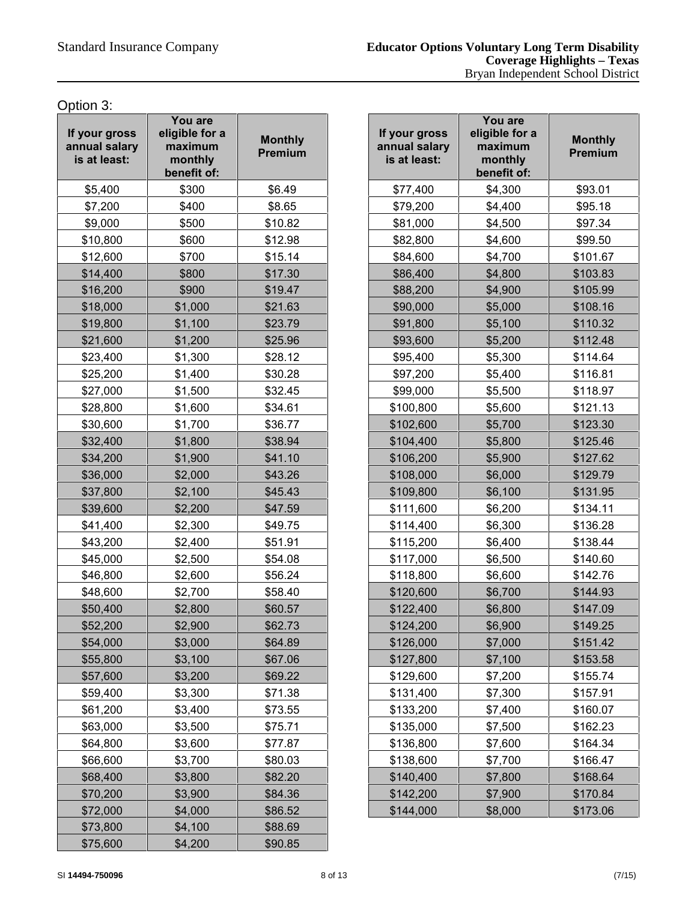Option 3:

| If your gross<br>annual salary<br>is at least: | You are<br>eligible for a<br>maximum<br>monthly<br>benefit of: | <b>Monthly</b><br><b>Premium</b> |  |
|------------------------------------------------|----------------------------------------------------------------|----------------------------------|--|
| \$5,400                                        | \$300                                                          | \$6.49                           |  |
| \$7,200                                        | \$400                                                          | \$8.65                           |  |
| \$9,000                                        | \$500                                                          | \$10.82                          |  |
| \$10,800                                       | \$600                                                          | \$12.98                          |  |
| \$12,600                                       | \$700                                                          | \$15.14                          |  |
| \$14,400                                       | \$800                                                          | \$17.30                          |  |
| \$16,200                                       | \$900                                                          | \$19.47                          |  |
| \$18,000                                       | \$1,000                                                        | \$21.63                          |  |
| \$19,800                                       | \$1,100                                                        | \$23.79                          |  |
| \$21,600                                       | \$1,200                                                        | \$25.96                          |  |
| \$23,400                                       | \$1,300                                                        | \$28.12                          |  |
| \$25,200                                       | \$1,400                                                        | \$30.28                          |  |
| \$27,000                                       | \$1,500                                                        | \$32.45                          |  |
| \$28,800                                       | \$1,600                                                        | \$34.61                          |  |
| \$30,600                                       | \$1,700                                                        | \$36.77                          |  |
| \$32,400                                       | \$1,800                                                        | \$38.94                          |  |
| \$34,200                                       | \$1,900                                                        | \$41.10                          |  |
| \$36,000                                       | \$2,000                                                        | \$43.26                          |  |
| \$37,800                                       | \$2,100                                                        | \$45.43                          |  |
| \$39,600                                       | \$2,200                                                        | \$47.59                          |  |
| \$41,400                                       | \$2,300                                                        | \$49.75                          |  |
| \$43,200                                       | \$2,400                                                        | \$51.91                          |  |
| \$45,000                                       | \$2,500                                                        | \$54.08                          |  |
| \$46,800                                       | \$2,600                                                        | \$56.24                          |  |
| \$48,600                                       | \$2,700                                                        | \$58.40                          |  |
| \$50,400                                       | \$2,800                                                        | \$60.57                          |  |
| \$52,200                                       | \$2,900                                                        | \$62.73                          |  |
| \$54,000                                       | \$3,000                                                        | \$64.89                          |  |
| \$55,800                                       | \$3,100                                                        | \$67.06                          |  |
| \$57,600                                       | \$3,200                                                        | \$69.22                          |  |
| \$59,400                                       | \$3,300                                                        | \$71.38                          |  |
| \$61,200                                       | \$3,400                                                        | \$73.55                          |  |
| \$63,000                                       | \$3,500                                                        | \$75.71                          |  |
| \$64,800                                       | \$3,600                                                        | \$77.87                          |  |
| \$66,600                                       | \$3,700                                                        | \$80.03                          |  |
| \$68,400                                       | \$3,800                                                        | \$82.20                          |  |
| \$70,200                                       | \$3,900                                                        | \$84.36                          |  |
| \$72,000                                       | \$4,000                                                        | \$86.52                          |  |
| \$73,800                                       | \$4,100                                                        | \$88.69                          |  |
| \$75,600                                       | \$4,200                                                        | \$90.85                          |  |

| our gross<br><b>nual salary</b><br>at least: | You are<br>eligible for a<br>maximum<br>monthly<br>benefit of: | <b>Monthly</b><br>Premium | If your gross<br>annual salary<br>is at least: | You are<br>eligible for a<br>maximum<br>monthly<br>benefit of: | <b>Monthly</b><br>Premium |
|----------------------------------------------|----------------------------------------------------------------|---------------------------|------------------------------------------------|----------------------------------------------------------------|---------------------------|
| \$5,400                                      | \$300                                                          | \$6.49                    | \$77,400                                       | \$4,300                                                        | \$93.01                   |
| \$7,200                                      | \$400                                                          | \$8.65                    | \$79,200                                       | \$4,400                                                        | \$95.18                   |
| \$9,000                                      | \$500                                                          | \$10.82                   | \$81,000                                       | \$4,500                                                        | \$97.34                   |
| \$10,800                                     | \$600                                                          | \$12.98                   | \$82,800                                       | \$4,600                                                        | \$99.50                   |
| \$12,600                                     | \$700                                                          | \$15.14                   | \$84,600                                       | \$4,700                                                        | \$101.67                  |
| \$14,400                                     | \$800                                                          | \$17.30                   | \$86,400                                       | \$4,800                                                        | \$103.83                  |
| \$16,200                                     | \$900                                                          | \$19.47                   | \$88,200                                       | \$4,900                                                        | \$105.99                  |
| \$18,000                                     | \$1,000                                                        | \$21.63                   | \$90,000                                       | \$5,000                                                        | \$108.16                  |
| \$19,800                                     | \$1,100                                                        | \$23.79                   | \$91,800                                       | \$5,100                                                        | \$110.32                  |
| \$21,600                                     | \$1,200                                                        | \$25.96                   | \$93,600                                       | \$5,200                                                        | \$112.48                  |
| \$23,400                                     | \$1,300                                                        | \$28.12                   | \$95,400                                       | \$5,300                                                        | \$114.64                  |
| \$25,200                                     | \$1,400                                                        | \$30.28                   | \$97,200                                       | \$5,400                                                        | \$116.81                  |
| \$27,000                                     | \$1,500                                                        | \$32.45                   | \$99,000                                       | \$5,500                                                        | \$118.97                  |
| \$28,800                                     | \$1,600                                                        | \$34.61                   | \$100,800                                      | \$5,600                                                        | \$121.13                  |
| \$30,600                                     | \$1,700                                                        | \$36.77                   | \$102,600                                      | \$5,700                                                        | \$123.30                  |
| \$32,400                                     | \$1,800                                                        | \$38.94                   | \$104,400                                      | \$5,800                                                        | \$125.46                  |
| \$34,200                                     | \$1,900                                                        | \$41.10                   | \$106,200                                      | \$5,900                                                        | \$127.62                  |
| \$36,000                                     | \$2,000                                                        | \$43.26                   | \$108,000                                      | \$6,000                                                        | \$129.79                  |
| \$37,800                                     | \$2,100                                                        | \$45.43                   | \$109,800                                      | \$6,100                                                        | \$131.95                  |
| \$39,600                                     | \$2,200                                                        | \$47.59                   | \$111,600                                      | \$6,200                                                        | \$134.11                  |
| \$41,400                                     | \$2,300                                                        | \$49.75                   | \$114,400                                      | \$6,300                                                        | \$136.28                  |
| \$43,200                                     | \$2,400                                                        | \$51.91                   | \$115,200                                      | \$6,400                                                        | \$138.44                  |
| \$45,000                                     | \$2,500                                                        | \$54.08                   | \$117,000                                      | \$6,500                                                        | \$140.60                  |
| \$46,800                                     | \$2,600                                                        | \$56.24                   | \$118,800                                      | \$6,600                                                        | \$142.76                  |
| \$48,600                                     | \$2,700                                                        | \$58.40                   | \$120,600                                      | \$6,700                                                        | \$144.93                  |
| \$50,400                                     | \$2,800                                                        | \$60.57                   | \$122,400                                      | \$6,800                                                        | \$147.09                  |
| \$52,200                                     | \$2,900                                                        | \$62.73                   | \$124,200                                      | \$6,900                                                        | \$149.25                  |
| \$54,000                                     | \$3,000                                                        | \$64.89                   | \$126,000                                      | \$7,000                                                        | \$151.42                  |
| \$55,800                                     | \$3,100                                                        | \$67.06                   | \$127,800                                      | \$7,100                                                        | \$153.58                  |
| \$57,600                                     | \$3,200                                                        | \$69.22                   | \$129,600                                      | \$7,200                                                        | \$155.74                  |
| \$59,400                                     | \$3,300                                                        | \$71.38                   | \$131,400                                      | \$7,300                                                        | \$157.91                  |
| \$61,200                                     | \$3,400                                                        | \$73.55                   | \$133,200                                      | \$7,400                                                        | \$160.07                  |
| \$63,000                                     | \$3,500                                                        | \$75.71                   | \$135,000                                      | \$7,500                                                        | \$162.23                  |
| \$64,800                                     | \$3,600                                                        | \$77.87                   | \$136,800                                      | \$7,600                                                        | \$164.34                  |
| \$66,600                                     | \$3,700                                                        | \$80.03                   | \$138,600                                      | \$7,700                                                        | \$166.47                  |
| \$68,400                                     | \$3,800                                                        | \$82.20                   | \$140,400                                      | \$7,800                                                        | \$168.64                  |
| \$70,200                                     | \$3,900                                                        | \$84.36                   | \$142,200                                      | \$7,900                                                        | \$170.84                  |
| \$72,000                                     | \$4,000                                                        | \$86.52                   | \$144,000                                      | \$8,000                                                        | \$173.06                  |
|                                              |                                                                |                           |                                                |                                                                |                           |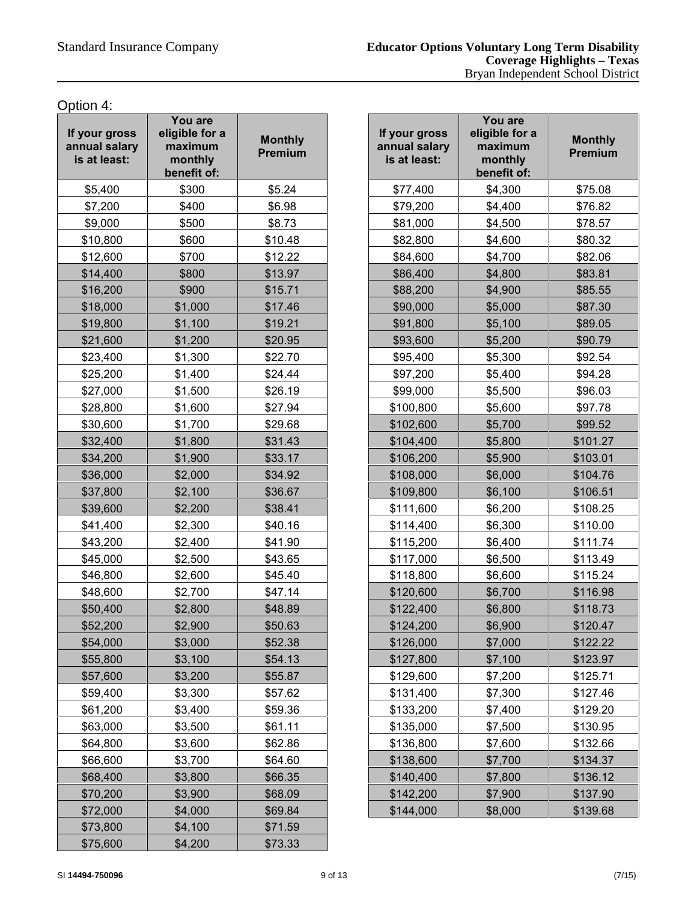Option 4:

| If your gross<br>annual salary<br>is at least: | You are<br>eligible for a<br>maximum<br>monthly<br>benefit of: | <b>Monthly</b><br><b>Premium</b> |  |
|------------------------------------------------|----------------------------------------------------------------|----------------------------------|--|
| \$5,400                                        | \$300                                                          | \$5.24                           |  |
| \$7,200                                        | \$400                                                          | \$6.98                           |  |
| \$9,000                                        | \$500                                                          | \$8.73                           |  |
| \$10,800                                       | \$600                                                          | \$10.48                          |  |
| \$12,600                                       | \$700                                                          | \$12.22                          |  |
| \$14,400                                       | \$800                                                          | \$13.97                          |  |
| \$16,200                                       | \$900                                                          | \$15.71                          |  |
| \$18,000                                       | \$1,000                                                        | \$17.46                          |  |
| \$19,800                                       | \$1,100                                                        | \$19.21                          |  |
| \$21,600                                       | \$1,200                                                        | \$20.95                          |  |
| \$23,400                                       | \$1,300                                                        | \$22.70                          |  |
| \$25,200                                       | \$1,400                                                        | \$24.44                          |  |
| \$27,000                                       | \$1,500                                                        | \$26.19                          |  |
| \$28,800                                       | \$1,600                                                        | \$27.94                          |  |
| \$30,600                                       | \$1,700                                                        | \$29.68                          |  |
| \$32,400                                       | \$1,800                                                        | \$31.43                          |  |
| \$34,200                                       | \$1,900                                                        | \$33.17                          |  |
| \$36,000                                       | \$2,000                                                        | \$34.92                          |  |
| \$37,800                                       | \$2,100                                                        | \$36.67                          |  |
| \$39,600                                       | \$2,200                                                        | \$38.41                          |  |
| \$41,400                                       | \$2,300                                                        | \$40.16                          |  |
| \$43,200                                       | \$2,400                                                        | \$41.90                          |  |
| \$45,000                                       | \$2,500                                                        | \$43.65                          |  |
| \$46,800                                       | \$2,600                                                        | \$45.40                          |  |
| \$48,600                                       | \$2,700                                                        | \$47.14                          |  |
| \$50,400                                       | \$2,800                                                        | \$48.89                          |  |
| \$52,200                                       | \$2,900                                                        | \$50.63                          |  |
| \$54,000                                       | \$3,000                                                        | \$52.38                          |  |
| \$55,800                                       | \$3,100                                                        | \$54.13                          |  |
| \$57,600                                       | \$3,200                                                        | \$55.87                          |  |
| \$59,400                                       | \$3,300                                                        | \$57.62                          |  |
| \$61,200                                       | \$3,400                                                        | \$59.36                          |  |
| \$63,000                                       | \$3,500                                                        | \$61.11                          |  |
| \$64,800                                       | \$3,600                                                        | \$62.86                          |  |
| \$66,600                                       | \$3,700                                                        | \$64.60                          |  |
| \$68,400                                       | \$3,800                                                        | \$66.35                          |  |
| \$70,200                                       | \$3,900                                                        | \$68.09                          |  |
| \$72,000                                       | \$4,000                                                        | \$69.84                          |  |
| \$73,800                                       | \$4,100                                                        | \$71.59                          |  |
| \$75,600                                       | \$4,200                                                        | \$73.33                          |  |

| \$300<br>\$5.24<br>\$5,400<br>\$77,400<br>\$4,300<br>\$7,200<br>\$400<br>\$6.98<br>\$79,200<br>\$4,400<br>\$9,000<br>\$500<br>\$8.73<br>\$81,000<br>\$4,500<br>\$600<br>\$10.48<br>\$82,800<br>\$4,600<br>\$700<br>\$12.22<br>\$84,600<br>\$4,700<br>\$800<br>\$13.97<br>\$86,400<br>\$4,800<br>\$900<br>\$88,200<br>\$15.71<br>\$4,900<br>\$1,000<br>\$17.46<br>\$90,000<br>\$5,000<br>\$1,100<br>\$91,800<br>\$5,100<br>\$19.21<br>\$1,200<br>\$20.95<br>\$93,600<br>\$5,200<br>\$1,300<br>\$22.70<br>\$95,400<br>\$5,300<br>\$97,200<br>\$5,400<br>\$1,400<br>\$24.44<br>\$1,500<br>\$26.19<br>\$99,000<br>\$5,500<br>\$100,800<br>\$5,600<br>\$1,600<br>\$27.94<br>\$1,700<br>\$29.68<br>\$102,600<br>\$5,700<br>\$31.43<br>\$5,800<br>\$1,800<br>\$104,400<br>\$1,900<br>\$33.17<br>\$106,200<br>\$5,900<br>\$34.92<br>\$108,000<br>\$6,000<br>\$2,000<br>\$2,100<br>\$36.67<br>\$109,800<br>\$6,100<br>\$38.41<br>\$6,200<br>\$2,200<br>\$111,600<br>\$40.16<br>\$2,300<br>\$114,400<br>\$6,300<br>\$6,400<br>\$2,400<br>\$41.90<br>\$115,200<br>\$2,500<br>\$43.65<br>\$117,000<br>\$6,500<br>\$2,600<br>\$45.40<br>\$118,800<br>\$6,600<br>\$2,700<br>\$47.14<br>\$120,600<br>\$6,700<br>\$2,800<br>\$48.89<br>\$122,400<br>\$6,800<br>\$2,900<br>\$6,900<br>\$50.63<br>\$124,200<br>\$3,000<br>\$52.38<br>\$126,000<br>\$7,000<br>\$7,100<br>\$3,100<br>\$54.13<br>\$127,800<br>\$3,200<br>\$55.87<br>\$129,600<br>\$7,200<br>\$3,300<br>\$57.62<br>\$131,400<br>\$7,300<br>\$133,200<br>\$7,400<br>\$3,400<br>\$59.36 | our gross<br><b>nual salary</b><br>at least: | You are<br>eligible for a<br>maximum<br>monthly<br>benefit of: | <b>Monthly</b><br>Premium | If your gross<br>annual salary<br>is at least: | You are<br>eligible for a<br>maximum<br>monthly<br>benefit of: | <b>Monthly</b><br>Premium |
|---------------------------------------------------------------------------------------------------------------------------------------------------------------------------------------------------------------------------------------------------------------------------------------------------------------------------------------------------------------------------------------------------------------------------------------------------------------------------------------------------------------------------------------------------------------------------------------------------------------------------------------------------------------------------------------------------------------------------------------------------------------------------------------------------------------------------------------------------------------------------------------------------------------------------------------------------------------------------------------------------------------------------------------------------------------------------------------------------------------------------------------------------------------------------------------------------------------------------------------------------------------------------------------------------------------------------------------------------------------------------------------------------------------------------------------------------------------------------------------------------------------------------------|----------------------------------------------|----------------------------------------------------------------|---------------------------|------------------------------------------------|----------------------------------------------------------------|---------------------------|
| \$10,800<br>\$12,600<br>\$14,400<br>\$16,200<br>\$18,000<br>\$19,800<br>\$21,600<br>\$23,400<br>\$25,200<br>\$27,000<br>\$28,800<br>\$30,600<br>\$32,400<br>\$34,200<br>\$36,000<br>\$37,800<br>\$39,600<br>\$41,400<br>\$43,200<br>\$45,000<br>\$46,800<br>\$48,600<br>\$50,400<br>\$52,200<br>\$54,000<br>\$55,800<br>\$57,600<br>\$59,400<br>\$61,200                                                                                                                                                                                                                                                                                                                                                                                                                                                                                                                                                                                                                                                                                                                                                                                                                                                                                                                                                                                                                                                                                                                                                                        |                                              |                                                                |                           |                                                |                                                                | \$75.08                   |
|                                                                                                                                                                                                                                                                                                                                                                                                                                                                                                                                                                                                                                                                                                                                                                                                                                                                                                                                                                                                                                                                                                                                                                                                                                                                                                                                                                                                                                                                                                                                 |                                              |                                                                |                           |                                                |                                                                | \$76.82                   |
|                                                                                                                                                                                                                                                                                                                                                                                                                                                                                                                                                                                                                                                                                                                                                                                                                                                                                                                                                                                                                                                                                                                                                                                                                                                                                                                                                                                                                                                                                                                                 |                                              |                                                                |                           |                                                |                                                                | \$78.57                   |
|                                                                                                                                                                                                                                                                                                                                                                                                                                                                                                                                                                                                                                                                                                                                                                                                                                                                                                                                                                                                                                                                                                                                                                                                                                                                                                                                                                                                                                                                                                                                 |                                              |                                                                |                           |                                                |                                                                | \$80.32                   |
|                                                                                                                                                                                                                                                                                                                                                                                                                                                                                                                                                                                                                                                                                                                                                                                                                                                                                                                                                                                                                                                                                                                                                                                                                                                                                                                                                                                                                                                                                                                                 |                                              |                                                                |                           |                                                |                                                                | \$82.06                   |
|                                                                                                                                                                                                                                                                                                                                                                                                                                                                                                                                                                                                                                                                                                                                                                                                                                                                                                                                                                                                                                                                                                                                                                                                                                                                                                                                                                                                                                                                                                                                 |                                              |                                                                |                           |                                                |                                                                | \$83.81                   |
|                                                                                                                                                                                                                                                                                                                                                                                                                                                                                                                                                                                                                                                                                                                                                                                                                                                                                                                                                                                                                                                                                                                                                                                                                                                                                                                                                                                                                                                                                                                                 |                                              |                                                                |                           |                                                |                                                                | \$85.55                   |
|                                                                                                                                                                                                                                                                                                                                                                                                                                                                                                                                                                                                                                                                                                                                                                                                                                                                                                                                                                                                                                                                                                                                                                                                                                                                                                                                                                                                                                                                                                                                 |                                              |                                                                |                           |                                                |                                                                | \$87.30                   |
|                                                                                                                                                                                                                                                                                                                                                                                                                                                                                                                                                                                                                                                                                                                                                                                                                                                                                                                                                                                                                                                                                                                                                                                                                                                                                                                                                                                                                                                                                                                                 |                                              |                                                                |                           |                                                |                                                                | \$89.05                   |
|                                                                                                                                                                                                                                                                                                                                                                                                                                                                                                                                                                                                                                                                                                                                                                                                                                                                                                                                                                                                                                                                                                                                                                                                                                                                                                                                                                                                                                                                                                                                 |                                              |                                                                |                           |                                                |                                                                | \$90.79                   |
|                                                                                                                                                                                                                                                                                                                                                                                                                                                                                                                                                                                                                                                                                                                                                                                                                                                                                                                                                                                                                                                                                                                                                                                                                                                                                                                                                                                                                                                                                                                                 |                                              |                                                                |                           |                                                |                                                                | \$92.54                   |
|                                                                                                                                                                                                                                                                                                                                                                                                                                                                                                                                                                                                                                                                                                                                                                                                                                                                                                                                                                                                                                                                                                                                                                                                                                                                                                                                                                                                                                                                                                                                 |                                              |                                                                |                           |                                                |                                                                | \$94.28                   |
|                                                                                                                                                                                                                                                                                                                                                                                                                                                                                                                                                                                                                                                                                                                                                                                                                                                                                                                                                                                                                                                                                                                                                                                                                                                                                                                                                                                                                                                                                                                                 |                                              |                                                                |                           |                                                |                                                                | \$96.03                   |
|                                                                                                                                                                                                                                                                                                                                                                                                                                                                                                                                                                                                                                                                                                                                                                                                                                                                                                                                                                                                                                                                                                                                                                                                                                                                                                                                                                                                                                                                                                                                 |                                              |                                                                |                           |                                                |                                                                | \$97.78                   |
|                                                                                                                                                                                                                                                                                                                                                                                                                                                                                                                                                                                                                                                                                                                                                                                                                                                                                                                                                                                                                                                                                                                                                                                                                                                                                                                                                                                                                                                                                                                                 |                                              |                                                                |                           |                                                |                                                                | \$99.52                   |
|                                                                                                                                                                                                                                                                                                                                                                                                                                                                                                                                                                                                                                                                                                                                                                                                                                                                                                                                                                                                                                                                                                                                                                                                                                                                                                                                                                                                                                                                                                                                 |                                              |                                                                |                           |                                                |                                                                | \$101.27                  |
|                                                                                                                                                                                                                                                                                                                                                                                                                                                                                                                                                                                                                                                                                                                                                                                                                                                                                                                                                                                                                                                                                                                                                                                                                                                                                                                                                                                                                                                                                                                                 |                                              |                                                                |                           |                                                |                                                                | \$103.01                  |
|                                                                                                                                                                                                                                                                                                                                                                                                                                                                                                                                                                                                                                                                                                                                                                                                                                                                                                                                                                                                                                                                                                                                                                                                                                                                                                                                                                                                                                                                                                                                 |                                              |                                                                |                           |                                                |                                                                | \$104.76                  |
|                                                                                                                                                                                                                                                                                                                                                                                                                                                                                                                                                                                                                                                                                                                                                                                                                                                                                                                                                                                                                                                                                                                                                                                                                                                                                                                                                                                                                                                                                                                                 |                                              |                                                                |                           |                                                |                                                                | \$106.51                  |
|                                                                                                                                                                                                                                                                                                                                                                                                                                                                                                                                                                                                                                                                                                                                                                                                                                                                                                                                                                                                                                                                                                                                                                                                                                                                                                                                                                                                                                                                                                                                 |                                              |                                                                |                           |                                                |                                                                | \$108.25                  |
|                                                                                                                                                                                                                                                                                                                                                                                                                                                                                                                                                                                                                                                                                                                                                                                                                                                                                                                                                                                                                                                                                                                                                                                                                                                                                                                                                                                                                                                                                                                                 |                                              |                                                                |                           |                                                |                                                                | \$110.00                  |
|                                                                                                                                                                                                                                                                                                                                                                                                                                                                                                                                                                                                                                                                                                                                                                                                                                                                                                                                                                                                                                                                                                                                                                                                                                                                                                                                                                                                                                                                                                                                 |                                              |                                                                |                           |                                                |                                                                | \$111.74                  |
|                                                                                                                                                                                                                                                                                                                                                                                                                                                                                                                                                                                                                                                                                                                                                                                                                                                                                                                                                                                                                                                                                                                                                                                                                                                                                                                                                                                                                                                                                                                                 |                                              |                                                                |                           |                                                |                                                                | \$113.49                  |
|                                                                                                                                                                                                                                                                                                                                                                                                                                                                                                                                                                                                                                                                                                                                                                                                                                                                                                                                                                                                                                                                                                                                                                                                                                                                                                                                                                                                                                                                                                                                 |                                              |                                                                |                           |                                                |                                                                | \$115.24                  |
|                                                                                                                                                                                                                                                                                                                                                                                                                                                                                                                                                                                                                                                                                                                                                                                                                                                                                                                                                                                                                                                                                                                                                                                                                                                                                                                                                                                                                                                                                                                                 |                                              |                                                                |                           |                                                |                                                                | \$116.98                  |
|                                                                                                                                                                                                                                                                                                                                                                                                                                                                                                                                                                                                                                                                                                                                                                                                                                                                                                                                                                                                                                                                                                                                                                                                                                                                                                                                                                                                                                                                                                                                 |                                              |                                                                |                           |                                                |                                                                | \$118.73                  |
|                                                                                                                                                                                                                                                                                                                                                                                                                                                                                                                                                                                                                                                                                                                                                                                                                                                                                                                                                                                                                                                                                                                                                                                                                                                                                                                                                                                                                                                                                                                                 |                                              |                                                                |                           |                                                |                                                                | \$120.47                  |
|                                                                                                                                                                                                                                                                                                                                                                                                                                                                                                                                                                                                                                                                                                                                                                                                                                                                                                                                                                                                                                                                                                                                                                                                                                                                                                                                                                                                                                                                                                                                 |                                              |                                                                |                           |                                                |                                                                | \$122.22                  |
|                                                                                                                                                                                                                                                                                                                                                                                                                                                                                                                                                                                                                                                                                                                                                                                                                                                                                                                                                                                                                                                                                                                                                                                                                                                                                                                                                                                                                                                                                                                                 |                                              |                                                                |                           |                                                |                                                                | \$123.97                  |
|                                                                                                                                                                                                                                                                                                                                                                                                                                                                                                                                                                                                                                                                                                                                                                                                                                                                                                                                                                                                                                                                                                                                                                                                                                                                                                                                                                                                                                                                                                                                 |                                              |                                                                |                           |                                                |                                                                | \$125.71                  |
|                                                                                                                                                                                                                                                                                                                                                                                                                                                                                                                                                                                                                                                                                                                                                                                                                                                                                                                                                                                                                                                                                                                                                                                                                                                                                                                                                                                                                                                                                                                                 |                                              |                                                                |                           |                                                |                                                                | \$127.46                  |
|                                                                                                                                                                                                                                                                                                                                                                                                                                                                                                                                                                                                                                                                                                                                                                                                                                                                                                                                                                                                                                                                                                                                                                                                                                                                                                                                                                                                                                                                                                                                 |                                              |                                                                |                           |                                                |                                                                | \$129.20                  |
| \$63,000<br>\$7,500<br>\$3,500<br>\$61.11<br>\$135,000                                                                                                                                                                                                                                                                                                                                                                                                                                                                                                                                                                                                                                                                                                                                                                                                                                                                                                                                                                                                                                                                                                                                                                                                                                                                                                                                                                                                                                                                          |                                              |                                                                |                           |                                                |                                                                | \$130.95                  |
| \$64,800<br>\$3,600<br>\$62.86<br>\$136,800<br>\$7,600                                                                                                                                                                                                                                                                                                                                                                                                                                                                                                                                                                                                                                                                                                                                                                                                                                                                                                                                                                                                                                                                                                                                                                                                                                                                                                                                                                                                                                                                          |                                              |                                                                |                           |                                                |                                                                | \$132.66                  |
| \$66,600<br>\$3,700<br>\$64.60<br>\$138,600<br>\$7,700                                                                                                                                                                                                                                                                                                                                                                                                                                                                                                                                                                                                                                                                                                                                                                                                                                                                                                                                                                                                                                                                                                                                                                                                                                                                                                                                                                                                                                                                          |                                              |                                                                |                           |                                                |                                                                | \$134.37                  |
| \$68,400<br>\$3,800<br>\$66.35<br>\$140,400<br>\$7,800                                                                                                                                                                                                                                                                                                                                                                                                                                                                                                                                                                                                                                                                                                                                                                                                                                                                                                                                                                                                                                                                                                                                                                                                                                                                                                                                                                                                                                                                          |                                              |                                                                |                           |                                                |                                                                | \$136.12                  |
| \$70,200<br>\$68.09<br>\$142,200<br>\$7,900<br>\$3,900                                                                                                                                                                                                                                                                                                                                                                                                                                                                                                                                                                                                                                                                                                                                                                                                                                                                                                                                                                                                                                                                                                                                                                                                                                                                                                                                                                                                                                                                          |                                              |                                                                |                           |                                                |                                                                | \$137.90                  |
| \$72,000<br>\$4,000<br>\$69.84<br>\$144,000<br>\$8,000                                                                                                                                                                                                                                                                                                                                                                                                                                                                                                                                                                                                                                                                                                                                                                                                                                                                                                                                                                                                                                                                                                                                                                                                                                                                                                                                                                                                                                                                          |                                              |                                                                |                           |                                                |                                                                | \$139.68                  |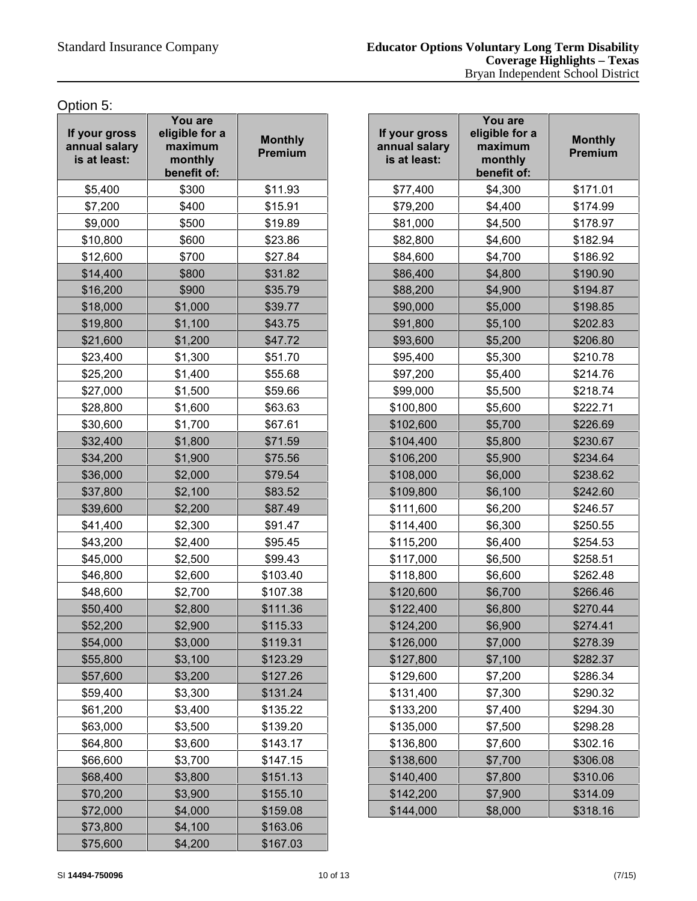Option 5:

| If your gross<br>annual salary<br>is at least: | You are<br>eligible for a<br>maximum<br>monthly<br>benefit of: | <b>Monthly</b><br><b>Premium</b> |  |
|------------------------------------------------|----------------------------------------------------------------|----------------------------------|--|
| \$5,400                                        | \$300                                                          | \$11.93                          |  |
| \$7,200                                        | \$400                                                          | \$15.91                          |  |
| \$9,000                                        | \$500                                                          | \$19.89                          |  |
| \$10,800                                       | \$600                                                          | \$23.86                          |  |
| \$12,600                                       | \$700                                                          | \$27.84                          |  |
| \$14,400                                       | \$800                                                          | \$31.82                          |  |
| \$16,200                                       | \$900                                                          | \$35.79                          |  |
| \$18,000                                       | \$1,000                                                        | \$39.77                          |  |
| \$19,800                                       | \$1,100                                                        | \$43.75                          |  |
| \$21,600                                       | \$1,200                                                        | \$47.72                          |  |
| \$23,400                                       | \$1,300                                                        | \$51.70                          |  |
| \$25,200                                       | \$1,400                                                        | \$55.68                          |  |
| \$27,000                                       | \$1,500                                                        | \$59.66                          |  |
| \$28,800                                       | \$1,600                                                        | \$63.63                          |  |
| \$30,600                                       | \$1,700                                                        | \$67.61                          |  |
| \$32,400                                       | \$1,800                                                        | \$71.59                          |  |
| \$34,200                                       | \$1,900                                                        | \$75.56                          |  |
| \$36,000                                       | \$2,000                                                        | \$79.54                          |  |
| \$37,800                                       | \$2,100                                                        | \$83.52                          |  |
| \$39,600                                       | \$2,200                                                        | \$87.49                          |  |
| \$41,400                                       | \$2,300                                                        | \$91.47                          |  |
| \$43,200                                       | \$2,400                                                        | \$95.45                          |  |
| \$45,000                                       | \$2,500                                                        | \$99.43                          |  |
| \$46,800                                       | \$2,600                                                        | \$103.40                         |  |
| \$48,600                                       | \$2,700                                                        | \$107.38                         |  |
| \$50,400                                       | \$2,800                                                        | \$111.36                         |  |
| \$52,200                                       | \$2,900                                                        | \$115.33                         |  |
| \$54,000                                       | \$3,000                                                        | \$119.31                         |  |
| \$55,800                                       | \$3,100                                                        | \$123.29                         |  |
| \$57,600                                       | \$3,200                                                        | \$127.26                         |  |
| \$59,400                                       | \$3,300                                                        | \$131.24                         |  |
| \$61,200                                       | \$3,400                                                        | \$135.22                         |  |
| \$63,000                                       | \$3,500                                                        | \$139.20                         |  |
| \$64,800                                       | \$3,600                                                        | \$143.17                         |  |
| \$66,600                                       | \$3,700                                                        | \$147.15                         |  |
| \$68,400                                       | \$3,800                                                        | \$151.13                         |  |
| \$70,200                                       | \$3,900                                                        | \$155.10                         |  |
| \$72,000                                       | \$4,000                                                        | \$159.08                         |  |
| \$73,800                                       | \$4,100                                                        | \$163.06                         |  |
| \$75,600                                       | \$4,200                                                        | \$167.03                         |  |

| our gross<br><b>nual salary</b><br>at least: | You are<br>eligible for a<br>maximum<br>monthly<br>benefit of: | <b>Monthly</b><br>Premium | If your gross<br>annual salary<br>is at least: | You are<br>eligible for a<br>maximum<br>monthly<br>benefit of: | <b>Monthly</b><br>Premium |
|----------------------------------------------|----------------------------------------------------------------|---------------------------|------------------------------------------------|----------------------------------------------------------------|---------------------------|
| \$5,400                                      | \$300                                                          | \$11.93                   | \$77,400                                       | \$4,300                                                        | \$171.01                  |
| \$7,200                                      | \$400                                                          | \$15.91                   | \$79,200                                       | \$4,400                                                        | \$174.99                  |
| \$9,000                                      | \$500                                                          | \$19.89                   | \$81,000                                       | \$4,500                                                        | \$178.97                  |
| \$10,800                                     | \$600                                                          | \$23.86                   | \$82,800                                       | \$4,600                                                        | \$182.94                  |
| \$12,600                                     | \$700                                                          | \$27.84                   | \$84,600                                       | \$4,700                                                        | \$186.92                  |
| \$14,400                                     | \$800                                                          | \$31.82                   | \$86,400                                       | \$4,800                                                        | \$190.90                  |
| \$16,200                                     | \$900                                                          | \$35.79                   | \$88,200                                       | \$4,900                                                        | \$194.87                  |
| \$18,000                                     | \$1,000                                                        | \$39.77                   | \$90,000                                       | \$5,000                                                        | \$198.85                  |
| \$19,800                                     | \$1,100                                                        | \$43.75                   | \$91,800                                       | \$5,100                                                        | \$202.83                  |
| \$21,600                                     | \$1,200                                                        | \$47.72                   | \$93,600                                       | \$5,200                                                        | \$206.80                  |
| \$23,400                                     | \$1,300                                                        | \$51.70                   | \$95,400                                       | \$5,300                                                        | \$210.78                  |
| \$25,200                                     | \$1,400                                                        | \$55.68                   | \$97,200                                       | \$5,400                                                        | \$214.76                  |
| \$27,000                                     | \$1,500                                                        | \$59.66                   | \$99,000                                       | \$5,500                                                        | \$218.74                  |
| \$28,800                                     | \$1,600                                                        | \$63.63                   | \$100,800                                      | \$5,600                                                        | \$222.71                  |
| \$30,600                                     | \$1,700                                                        | \$67.61                   | \$102,600                                      | \$5,700                                                        | \$226.69                  |
| \$32,400                                     | \$1,800                                                        | \$71.59                   | \$104,400                                      | \$5,800                                                        | \$230.67                  |
| \$34,200                                     | \$1,900                                                        | \$75.56                   | \$106,200                                      | \$5,900                                                        | \$234.64                  |
| \$36,000                                     | \$2,000                                                        | \$79.54                   | \$108,000                                      | \$6,000                                                        | \$238.62                  |
| \$37,800                                     | \$2,100                                                        | \$83.52                   | \$109,800                                      | \$6,100                                                        | \$242.60                  |
| \$39,600                                     | \$2,200                                                        | \$87.49                   | \$111,600                                      | \$6,200                                                        | \$246.57                  |
| \$41,400                                     | \$2,300                                                        | \$91.47                   | \$114,400                                      | \$6,300                                                        | \$250.55                  |
| \$43,200                                     | \$2,400                                                        | \$95.45                   | \$115,200                                      | \$6,400                                                        | \$254.53                  |
| \$45,000                                     | \$2,500                                                        | \$99.43                   | \$117,000                                      | \$6,500                                                        | \$258.51                  |
| \$46,800                                     | \$2,600                                                        | \$103.40                  | \$118,800                                      | \$6,600                                                        | \$262.48                  |
| \$48,600                                     | \$2,700                                                        | \$107.38                  | \$120,600                                      | \$6,700                                                        | \$266.46                  |
| \$50,400                                     | \$2,800                                                        | \$111.36                  | \$122,400                                      | \$6,800                                                        | \$270.44                  |
| \$52,200                                     | \$2,900                                                        | \$115.33                  | \$124,200                                      | \$6,900                                                        | \$274.41                  |
| \$54,000                                     | \$3,000                                                        | \$119.31                  | \$126,000                                      | \$7,000                                                        | \$278.39                  |
| \$55,800                                     | \$3,100                                                        | \$123.29                  | \$127,800                                      | \$7,100                                                        | \$282.37                  |
| \$57,600                                     | \$3,200                                                        | \$127.26                  | \$129,600                                      | \$7,200                                                        | \$286.34                  |
| \$59,400                                     | \$3,300                                                        | \$131.24                  | \$131,400                                      | \$7,300                                                        | \$290.32                  |
| \$61,200                                     | \$3,400                                                        | \$135.22                  | \$133,200                                      | \$7,400                                                        | \$294.30                  |
| \$63,000                                     | \$3,500                                                        | \$139.20                  | \$135,000                                      | \$7,500                                                        | \$298.28                  |
| \$64,800                                     | \$3,600                                                        | \$143.17                  | \$136,800                                      | \$7,600                                                        | \$302.16                  |
| \$66,600                                     | \$3,700                                                        | \$147.15                  | \$138,600                                      | \$7,700                                                        | \$306.08                  |
| \$68,400                                     | \$3,800                                                        | \$151.13                  | \$140,400                                      | \$7,800                                                        | \$310.06                  |
| \$70,200                                     | \$3,900                                                        | \$155.10                  | \$142,200                                      | \$7,900                                                        | \$314.09                  |
| \$72,000                                     | \$4,000                                                        | \$159.08                  | \$144,000                                      | \$8,000                                                        | \$318.16                  |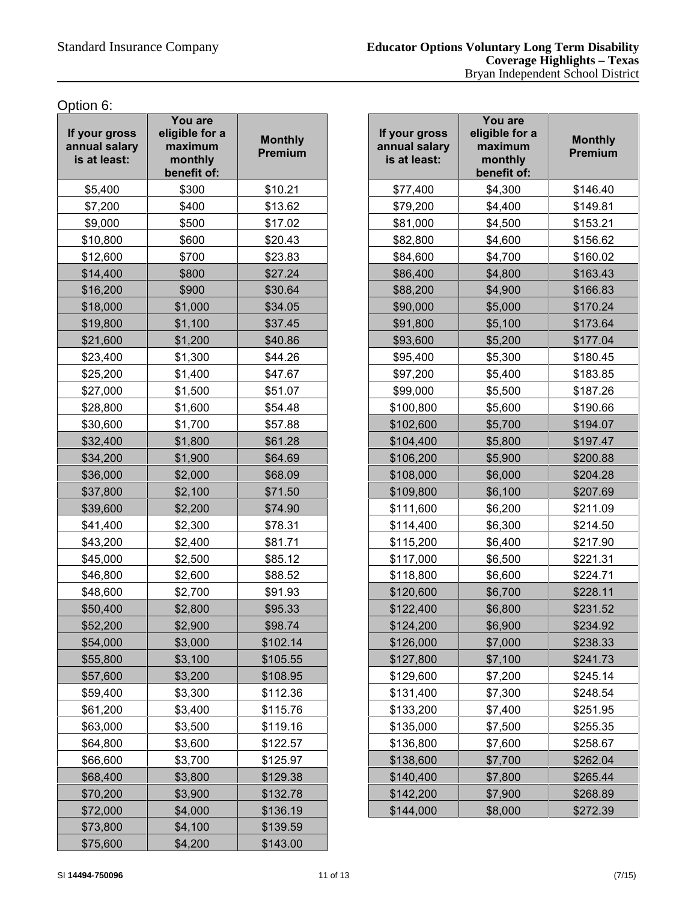Option 6:

| If your gross<br>annual salary<br>is at least: | You are<br>eligible for a<br>maximum<br>monthly<br>benefit of: | <b>Monthly</b><br>Premium |  |
|------------------------------------------------|----------------------------------------------------------------|---------------------------|--|
| \$5,400                                        | \$300                                                          | \$10.21                   |  |
| \$7,200                                        | \$400                                                          | \$13.62                   |  |
| \$9,000                                        | \$500                                                          | \$17.02                   |  |
| \$10,800                                       | \$600                                                          | \$20.43                   |  |
| \$12,600                                       | \$700                                                          | \$23.83                   |  |
| \$14,400                                       | \$800                                                          | \$27.24                   |  |
| \$16,200                                       | \$900                                                          | \$30.64                   |  |
| \$18,000                                       | \$1,000                                                        | \$34.05                   |  |
| \$19,800                                       | \$1,100                                                        | \$37.45                   |  |
| \$21,600                                       | \$1,200                                                        | \$40.86                   |  |
| \$23,400                                       | \$1,300                                                        | \$44.26                   |  |
| \$25,200                                       | \$1,400                                                        | \$47.67                   |  |
| \$27,000                                       | \$1,500                                                        | \$51.07                   |  |
| \$28,800                                       | \$1,600                                                        | \$54.48                   |  |
| \$30,600                                       | \$1,700                                                        | \$57.88                   |  |
| \$32,400                                       | \$1,800                                                        | \$61.28                   |  |
| \$34,200                                       | \$1,900                                                        | \$64.69                   |  |
| \$36,000                                       | \$2,000                                                        | \$68.09                   |  |
| \$37,800                                       | \$2,100                                                        | \$71.50                   |  |
| \$39,600                                       | \$2,200                                                        | \$74.90                   |  |
| \$41,400                                       | \$2,300                                                        | \$78.31                   |  |
| \$43,200                                       | \$2,400                                                        | \$81.71                   |  |
| \$45,000                                       | \$2,500                                                        | \$85.12                   |  |
| \$46,800                                       | \$2,600                                                        | \$88.52                   |  |
| \$48,600                                       | \$2,700                                                        | \$91.93                   |  |
| \$50,400                                       | \$2,800                                                        | \$95.33                   |  |
| \$52,200                                       | \$2,900                                                        | \$98.74                   |  |
| \$54,000                                       | \$3,000                                                        | \$102.14                  |  |
| \$55,800                                       | \$3,100                                                        | \$105.55                  |  |
| \$57,600                                       | \$3,200                                                        | \$108.95                  |  |
| \$59,400                                       | \$3,300                                                        | \$112.36                  |  |
| \$61,200                                       | \$3,400                                                        | \$115.76                  |  |
| \$63,000                                       | \$3,500                                                        | \$119.16                  |  |
| \$64,800                                       | \$3,600                                                        | \$122.57                  |  |
| \$66,600                                       | \$3,700                                                        | \$125.97                  |  |
| \$68,400                                       | \$3,800                                                        | \$129.38                  |  |
| \$70,200                                       | \$3,900                                                        | \$132.78                  |  |
| \$72,000                                       | \$4,000                                                        | \$136.19                  |  |
| \$73,800                                       | \$4,100                                                        | \$139.59                  |  |
| \$75,600                                       | \$4,200                                                        | \$143.00                  |  |

| \$300<br>\$10.21<br>\$77,400<br>\$4,300<br>\$146.40<br>\$400<br>\$13.62<br>\$79,200<br>\$4,400<br>\$149.81<br>\$500<br>\$17.02<br>\$81,000<br>\$153.21<br>\$4,500<br>\$600<br>\$20.43<br>\$82,800<br>\$4,600<br>\$156.62<br>\$4,700<br>\$700<br>\$23.83<br>\$84,600<br>\$160.02<br>\$800<br>\$27.24<br>\$86,400<br>\$4,800<br>\$163.43<br>\$900<br>\$88,200<br>\$30.64<br>\$4,900<br>\$166.83<br>\$1,000<br>\$34.05<br>\$90,000<br>\$5,000<br>\$170.24<br>\$1,100<br>\$91,800<br>\$5,100<br>\$173.64<br>\$37.45<br>\$1,200<br>\$40.86<br>\$93,600<br>\$5,200<br>\$177.04<br>\$44.26<br>\$1,300<br>\$95,400<br>\$5,300<br>\$180.45<br>\$47.67<br>\$97,200<br>\$5,400<br>\$183.85<br>\$1,400<br>\$1,500<br>\$51.07<br>\$99,000<br>\$5,500<br>\$187.26<br>\$1,600<br>\$100,800<br>\$5,600<br>\$54.48<br>\$190.66<br>\$1,700<br>\$57.88<br>\$102,600<br>\$5,700<br>\$194.07<br>\$61.28<br>\$5,800<br>\$197.47<br>\$1,800<br>\$104,400<br>\$1,900<br>\$64.69<br>\$106,200<br>\$5,900<br>\$200.88<br>\$108,000<br>\$6,000<br>\$2,000<br>\$68.09<br>\$204.28<br>\$2,100<br>\$71.50<br>\$109,800<br>\$6,100<br>\$207.69<br>\$6,200<br>\$2,200<br>\$74.90<br>\$111,600<br>\$211.09<br>\$2,300<br>\$78.31<br>\$114,400<br>\$6,300<br>\$214.50<br>\$6,400<br>\$2,400<br>\$81.71<br>\$115,200<br>\$217.90<br>\$2,500<br>\$85.12<br>\$117,000<br>\$6,500<br>\$221.31<br>\$2,600<br>\$88.52<br>\$118,800<br>\$6,600<br>\$224.71<br>\$2,700<br>\$91.93<br>\$120,600<br>\$6,700<br>\$228.11<br>\$95.33<br>\$2,800<br>\$122,400<br>\$6,800<br>\$231.52<br>\$2,900<br>\$6,900<br>\$234.92<br>\$98.74<br>\$124,200<br>\$3,000<br>\$102.14<br>\$126,000<br>\$7,000<br>\$238.33<br>\$7,100<br>\$3,100<br>\$105.55<br>\$127,800<br>\$241.73<br>\$3,200<br>\$108.95<br>\$129,600<br>\$7,200<br>\$245.14<br>\$3,300<br>\$112.36<br>\$131,400<br>\$7,300<br>\$248.54<br>\$115.76<br>\$133,200<br>\$3,400<br>\$7,400<br>\$251.95<br>\$7,500<br>\$3,500<br>\$119.16<br>\$135,000<br>\$255.35<br>\$3,600<br>\$136,800<br>\$7,600<br>\$122.57<br>\$258.67<br>\$3,700<br>\$138,600<br>\$125.97<br>\$7,700<br>\$262.04<br>\$3,800<br>\$129.38<br>\$140,400<br>\$265.44<br>\$7,800<br>\$132.78<br>\$142,200<br>\$268.89<br>\$3,900<br>\$7,900<br>\$136.19<br>\$144,000<br>\$8,000<br>\$272.39<br>\$4,000 | our gross<br><b>nual salary</b><br>at least: | You are<br>eligible for a<br>maximum<br>monthly<br>benefit of: | <b>Monthly</b><br>Premium | If your gross<br>annual salary<br>is at least: | You are<br>eligible for a<br>maximum<br>monthly<br>benefit of: | <b>Monthly</b><br>Premium |
|--------------------------------------------------------------------------------------------------------------------------------------------------------------------------------------------------------------------------------------------------------------------------------------------------------------------------------------------------------------------------------------------------------------------------------------------------------------------------------------------------------------------------------------------------------------------------------------------------------------------------------------------------------------------------------------------------------------------------------------------------------------------------------------------------------------------------------------------------------------------------------------------------------------------------------------------------------------------------------------------------------------------------------------------------------------------------------------------------------------------------------------------------------------------------------------------------------------------------------------------------------------------------------------------------------------------------------------------------------------------------------------------------------------------------------------------------------------------------------------------------------------------------------------------------------------------------------------------------------------------------------------------------------------------------------------------------------------------------------------------------------------------------------------------------------------------------------------------------------------------------------------------------------------------------------------------------------------------------------------------------------------------------------------------------------------------------------------------------------------------------------------------------------------------------------------------------------------------------------------------------------------------------|----------------------------------------------|----------------------------------------------------------------|---------------------------|------------------------------------------------|----------------------------------------------------------------|---------------------------|
|                                                                                                                                                                                                                                                                                                                                                                                                                                                                                                                                                                                                                                                                                                                                                                                                                                                                                                                                                                                                                                                                                                                                                                                                                                                                                                                                                                                                                                                                                                                                                                                                                                                                                                                                                                                                                                                                                                                                                                                                                                                                                                                                                                                                                                                                          | \$5,400                                      |                                                                |                           |                                                |                                                                |                           |
|                                                                                                                                                                                                                                                                                                                                                                                                                                                                                                                                                                                                                                                                                                                                                                                                                                                                                                                                                                                                                                                                                                                                                                                                                                                                                                                                                                                                                                                                                                                                                                                                                                                                                                                                                                                                                                                                                                                                                                                                                                                                                                                                                                                                                                                                          | \$7,200                                      |                                                                |                           |                                                |                                                                |                           |
|                                                                                                                                                                                                                                                                                                                                                                                                                                                                                                                                                                                                                                                                                                                                                                                                                                                                                                                                                                                                                                                                                                                                                                                                                                                                                                                                                                                                                                                                                                                                                                                                                                                                                                                                                                                                                                                                                                                                                                                                                                                                                                                                                                                                                                                                          | \$9,000                                      |                                                                |                           |                                                |                                                                |                           |
|                                                                                                                                                                                                                                                                                                                                                                                                                                                                                                                                                                                                                                                                                                                                                                                                                                                                                                                                                                                                                                                                                                                                                                                                                                                                                                                                                                                                                                                                                                                                                                                                                                                                                                                                                                                                                                                                                                                                                                                                                                                                                                                                                                                                                                                                          | \$10,800                                     |                                                                |                           |                                                |                                                                |                           |
|                                                                                                                                                                                                                                                                                                                                                                                                                                                                                                                                                                                                                                                                                                                                                                                                                                                                                                                                                                                                                                                                                                                                                                                                                                                                                                                                                                                                                                                                                                                                                                                                                                                                                                                                                                                                                                                                                                                                                                                                                                                                                                                                                                                                                                                                          | \$12,600                                     |                                                                |                           |                                                |                                                                |                           |
|                                                                                                                                                                                                                                                                                                                                                                                                                                                                                                                                                                                                                                                                                                                                                                                                                                                                                                                                                                                                                                                                                                                                                                                                                                                                                                                                                                                                                                                                                                                                                                                                                                                                                                                                                                                                                                                                                                                                                                                                                                                                                                                                                                                                                                                                          | \$14,400                                     |                                                                |                           |                                                |                                                                |                           |
|                                                                                                                                                                                                                                                                                                                                                                                                                                                                                                                                                                                                                                                                                                                                                                                                                                                                                                                                                                                                                                                                                                                                                                                                                                                                                                                                                                                                                                                                                                                                                                                                                                                                                                                                                                                                                                                                                                                                                                                                                                                                                                                                                                                                                                                                          | \$16,200                                     |                                                                |                           |                                                |                                                                |                           |
|                                                                                                                                                                                                                                                                                                                                                                                                                                                                                                                                                                                                                                                                                                                                                                                                                                                                                                                                                                                                                                                                                                                                                                                                                                                                                                                                                                                                                                                                                                                                                                                                                                                                                                                                                                                                                                                                                                                                                                                                                                                                                                                                                                                                                                                                          | \$18,000                                     |                                                                |                           |                                                |                                                                |                           |
|                                                                                                                                                                                                                                                                                                                                                                                                                                                                                                                                                                                                                                                                                                                                                                                                                                                                                                                                                                                                                                                                                                                                                                                                                                                                                                                                                                                                                                                                                                                                                                                                                                                                                                                                                                                                                                                                                                                                                                                                                                                                                                                                                                                                                                                                          | \$19,800                                     |                                                                |                           |                                                |                                                                |                           |
|                                                                                                                                                                                                                                                                                                                                                                                                                                                                                                                                                                                                                                                                                                                                                                                                                                                                                                                                                                                                                                                                                                                                                                                                                                                                                                                                                                                                                                                                                                                                                                                                                                                                                                                                                                                                                                                                                                                                                                                                                                                                                                                                                                                                                                                                          | \$21,600                                     |                                                                |                           |                                                |                                                                |                           |
|                                                                                                                                                                                                                                                                                                                                                                                                                                                                                                                                                                                                                                                                                                                                                                                                                                                                                                                                                                                                                                                                                                                                                                                                                                                                                                                                                                                                                                                                                                                                                                                                                                                                                                                                                                                                                                                                                                                                                                                                                                                                                                                                                                                                                                                                          | \$23,400                                     |                                                                |                           |                                                |                                                                |                           |
|                                                                                                                                                                                                                                                                                                                                                                                                                                                                                                                                                                                                                                                                                                                                                                                                                                                                                                                                                                                                                                                                                                                                                                                                                                                                                                                                                                                                                                                                                                                                                                                                                                                                                                                                                                                                                                                                                                                                                                                                                                                                                                                                                                                                                                                                          | \$25,200                                     |                                                                |                           |                                                |                                                                |                           |
|                                                                                                                                                                                                                                                                                                                                                                                                                                                                                                                                                                                                                                                                                                                                                                                                                                                                                                                                                                                                                                                                                                                                                                                                                                                                                                                                                                                                                                                                                                                                                                                                                                                                                                                                                                                                                                                                                                                                                                                                                                                                                                                                                                                                                                                                          | \$27,000                                     |                                                                |                           |                                                |                                                                |                           |
|                                                                                                                                                                                                                                                                                                                                                                                                                                                                                                                                                                                                                                                                                                                                                                                                                                                                                                                                                                                                                                                                                                                                                                                                                                                                                                                                                                                                                                                                                                                                                                                                                                                                                                                                                                                                                                                                                                                                                                                                                                                                                                                                                                                                                                                                          | \$28,800                                     |                                                                |                           |                                                |                                                                |                           |
|                                                                                                                                                                                                                                                                                                                                                                                                                                                                                                                                                                                                                                                                                                                                                                                                                                                                                                                                                                                                                                                                                                                                                                                                                                                                                                                                                                                                                                                                                                                                                                                                                                                                                                                                                                                                                                                                                                                                                                                                                                                                                                                                                                                                                                                                          | \$30,600                                     |                                                                |                           |                                                |                                                                |                           |
|                                                                                                                                                                                                                                                                                                                                                                                                                                                                                                                                                                                                                                                                                                                                                                                                                                                                                                                                                                                                                                                                                                                                                                                                                                                                                                                                                                                                                                                                                                                                                                                                                                                                                                                                                                                                                                                                                                                                                                                                                                                                                                                                                                                                                                                                          | \$32,400                                     |                                                                |                           |                                                |                                                                |                           |
|                                                                                                                                                                                                                                                                                                                                                                                                                                                                                                                                                                                                                                                                                                                                                                                                                                                                                                                                                                                                                                                                                                                                                                                                                                                                                                                                                                                                                                                                                                                                                                                                                                                                                                                                                                                                                                                                                                                                                                                                                                                                                                                                                                                                                                                                          | \$34,200                                     |                                                                |                           |                                                |                                                                |                           |
|                                                                                                                                                                                                                                                                                                                                                                                                                                                                                                                                                                                                                                                                                                                                                                                                                                                                                                                                                                                                                                                                                                                                                                                                                                                                                                                                                                                                                                                                                                                                                                                                                                                                                                                                                                                                                                                                                                                                                                                                                                                                                                                                                                                                                                                                          | \$36,000                                     |                                                                |                           |                                                |                                                                |                           |
|                                                                                                                                                                                                                                                                                                                                                                                                                                                                                                                                                                                                                                                                                                                                                                                                                                                                                                                                                                                                                                                                                                                                                                                                                                                                                                                                                                                                                                                                                                                                                                                                                                                                                                                                                                                                                                                                                                                                                                                                                                                                                                                                                                                                                                                                          | \$37,800                                     |                                                                |                           |                                                |                                                                |                           |
|                                                                                                                                                                                                                                                                                                                                                                                                                                                                                                                                                                                                                                                                                                                                                                                                                                                                                                                                                                                                                                                                                                                                                                                                                                                                                                                                                                                                                                                                                                                                                                                                                                                                                                                                                                                                                                                                                                                                                                                                                                                                                                                                                                                                                                                                          | \$39,600                                     |                                                                |                           |                                                |                                                                |                           |
|                                                                                                                                                                                                                                                                                                                                                                                                                                                                                                                                                                                                                                                                                                                                                                                                                                                                                                                                                                                                                                                                                                                                                                                                                                                                                                                                                                                                                                                                                                                                                                                                                                                                                                                                                                                                                                                                                                                                                                                                                                                                                                                                                                                                                                                                          | \$41,400                                     |                                                                |                           |                                                |                                                                |                           |
|                                                                                                                                                                                                                                                                                                                                                                                                                                                                                                                                                                                                                                                                                                                                                                                                                                                                                                                                                                                                                                                                                                                                                                                                                                                                                                                                                                                                                                                                                                                                                                                                                                                                                                                                                                                                                                                                                                                                                                                                                                                                                                                                                                                                                                                                          | \$43,200                                     |                                                                |                           |                                                |                                                                |                           |
|                                                                                                                                                                                                                                                                                                                                                                                                                                                                                                                                                                                                                                                                                                                                                                                                                                                                                                                                                                                                                                                                                                                                                                                                                                                                                                                                                                                                                                                                                                                                                                                                                                                                                                                                                                                                                                                                                                                                                                                                                                                                                                                                                                                                                                                                          | \$45,000                                     |                                                                |                           |                                                |                                                                |                           |
|                                                                                                                                                                                                                                                                                                                                                                                                                                                                                                                                                                                                                                                                                                                                                                                                                                                                                                                                                                                                                                                                                                                                                                                                                                                                                                                                                                                                                                                                                                                                                                                                                                                                                                                                                                                                                                                                                                                                                                                                                                                                                                                                                                                                                                                                          | \$46,800                                     |                                                                |                           |                                                |                                                                |                           |
|                                                                                                                                                                                                                                                                                                                                                                                                                                                                                                                                                                                                                                                                                                                                                                                                                                                                                                                                                                                                                                                                                                                                                                                                                                                                                                                                                                                                                                                                                                                                                                                                                                                                                                                                                                                                                                                                                                                                                                                                                                                                                                                                                                                                                                                                          | \$48,600                                     |                                                                |                           |                                                |                                                                |                           |
|                                                                                                                                                                                                                                                                                                                                                                                                                                                                                                                                                                                                                                                                                                                                                                                                                                                                                                                                                                                                                                                                                                                                                                                                                                                                                                                                                                                                                                                                                                                                                                                                                                                                                                                                                                                                                                                                                                                                                                                                                                                                                                                                                                                                                                                                          | \$50,400                                     |                                                                |                           |                                                |                                                                |                           |
|                                                                                                                                                                                                                                                                                                                                                                                                                                                                                                                                                                                                                                                                                                                                                                                                                                                                                                                                                                                                                                                                                                                                                                                                                                                                                                                                                                                                                                                                                                                                                                                                                                                                                                                                                                                                                                                                                                                                                                                                                                                                                                                                                                                                                                                                          | \$52,200                                     |                                                                |                           |                                                |                                                                |                           |
|                                                                                                                                                                                                                                                                                                                                                                                                                                                                                                                                                                                                                                                                                                                                                                                                                                                                                                                                                                                                                                                                                                                                                                                                                                                                                                                                                                                                                                                                                                                                                                                                                                                                                                                                                                                                                                                                                                                                                                                                                                                                                                                                                                                                                                                                          | \$54,000                                     |                                                                |                           |                                                |                                                                |                           |
|                                                                                                                                                                                                                                                                                                                                                                                                                                                                                                                                                                                                                                                                                                                                                                                                                                                                                                                                                                                                                                                                                                                                                                                                                                                                                                                                                                                                                                                                                                                                                                                                                                                                                                                                                                                                                                                                                                                                                                                                                                                                                                                                                                                                                                                                          | \$55,800                                     |                                                                |                           |                                                |                                                                |                           |
|                                                                                                                                                                                                                                                                                                                                                                                                                                                                                                                                                                                                                                                                                                                                                                                                                                                                                                                                                                                                                                                                                                                                                                                                                                                                                                                                                                                                                                                                                                                                                                                                                                                                                                                                                                                                                                                                                                                                                                                                                                                                                                                                                                                                                                                                          | \$57,600                                     |                                                                |                           |                                                |                                                                |                           |
|                                                                                                                                                                                                                                                                                                                                                                                                                                                                                                                                                                                                                                                                                                                                                                                                                                                                                                                                                                                                                                                                                                                                                                                                                                                                                                                                                                                                                                                                                                                                                                                                                                                                                                                                                                                                                                                                                                                                                                                                                                                                                                                                                                                                                                                                          | \$59,400                                     |                                                                |                           |                                                |                                                                |                           |
|                                                                                                                                                                                                                                                                                                                                                                                                                                                                                                                                                                                                                                                                                                                                                                                                                                                                                                                                                                                                                                                                                                                                                                                                                                                                                                                                                                                                                                                                                                                                                                                                                                                                                                                                                                                                                                                                                                                                                                                                                                                                                                                                                                                                                                                                          | \$61,200                                     |                                                                |                           |                                                |                                                                |                           |
|                                                                                                                                                                                                                                                                                                                                                                                                                                                                                                                                                                                                                                                                                                                                                                                                                                                                                                                                                                                                                                                                                                                                                                                                                                                                                                                                                                                                                                                                                                                                                                                                                                                                                                                                                                                                                                                                                                                                                                                                                                                                                                                                                                                                                                                                          | \$63,000                                     |                                                                |                           |                                                |                                                                |                           |
|                                                                                                                                                                                                                                                                                                                                                                                                                                                                                                                                                                                                                                                                                                                                                                                                                                                                                                                                                                                                                                                                                                                                                                                                                                                                                                                                                                                                                                                                                                                                                                                                                                                                                                                                                                                                                                                                                                                                                                                                                                                                                                                                                                                                                                                                          | \$64,800                                     |                                                                |                           |                                                |                                                                |                           |
|                                                                                                                                                                                                                                                                                                                                                                                                                                                                                                                                                                                                                                                                                                                                                                                                                                                                                                                                                                                                                                                                                                                                                                                                                                                                                                                                                                                                                                                                                                                                                                                                                                                                                                                                                                                                                                                                                                                                                                                                                                                                                                                                                                                                                                                                          | \$66,600                                     |                                                                |                           |                                                |                                                                |                           |
|                                                                                                                                                                                                                                                                                                                                                                                                                                                                                                                                                                                                                                                                                                                                                                                                                                                                                                                                                                                                                                                                                                                                                                                                                                                                                                                                                                                                                                                                                                                                                                                                                                                                                                                                                                                                                                                                                                                                                                                                                                                                                                                                                                                                                                                                          | \$68,400                                     |                                                                |                           |                                                |                                                                |                           |
|                                                                                                                                                                                                                                                                                                                                                                                                                                                                                                                                                                                                                                                                                                                                                                                                                                                                                                                                                                                                                                                                                                                                                                                                                                                                                                                                                                                                                                                                                                                                                                                                                                                                                                                                                                                                                                                                                                                                                                                                                                                                                                                                                                                                                                                                          | \$70,200                                     |                                                                |                           |                                                |                                                                |                           |
|                                                                                                                                                                                                                                                                                                                                                                                                                                                                                                                                                                                                                                                                                                                                                                                                                                                                                                                                                                                                                                                                                                                                                                                                                                                                                                                                                                                                                                                                                                                                                                                                                                                                                                                                                                                                                                                                                                                                                                                                                                                                                                                                                                                                                                                                          | \$72,000                                     |                                                                |                           |                                                |                                                                |                           |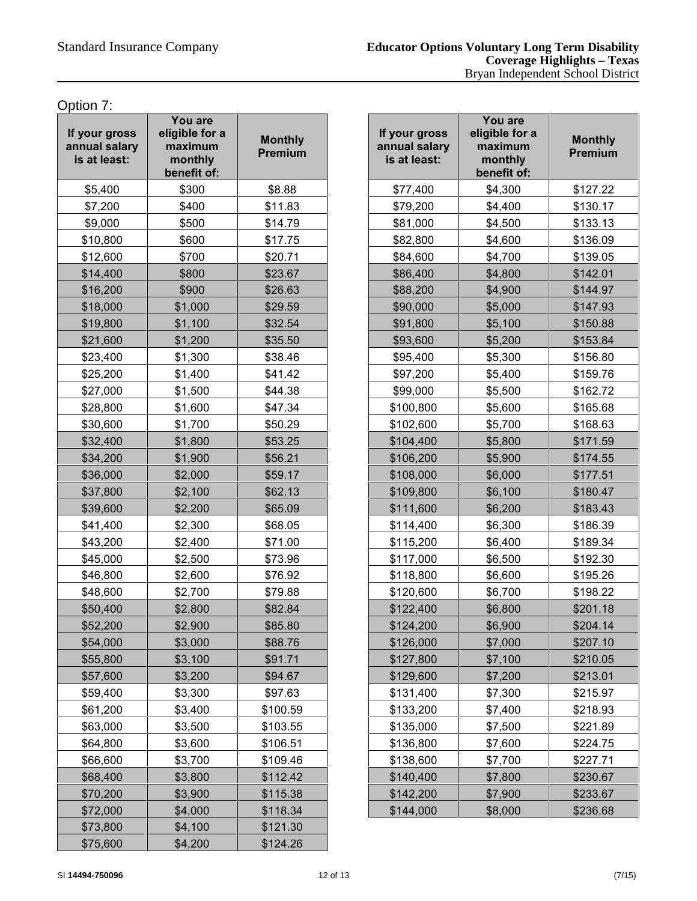Option 7:

| If your gross<br>annual salary<br>is at least: | You are<br>eligible for a<br>maximum<br>monthly<br>benefit of: | <b>Monthly</b><br>Premium |  |
|------------------------------------------------|----------------------------------------------------------------|---------------------------|--|
| \$5,400                                        | \$300                                                          | \$8.88                    |  |
| \$7,200                                        | \$400                                                          | \$11.83                   |  |
| \$9,000                                        | \$500                                                          | \$14.79                   |  |
| \$10,800                                       | \$600                                                          | \$17.75                   |  |
| \$12,600                                       | \$700                                                          | \$20.71                   |  |
| \$14,400                                       | \$800                                                          | \$23.67                   |  |
| \$16,200                                       | \$900                                                          | \$26.63                   |  |
| \$18,000                                       | \$1,000                                                        | \$29.59                   |  |
| \$19,800                                       | \$1,100                                                        | \$32.54                   |  |
| \$21,600                                       | \$1,200                                                        | \$35.50                   |  |
| \$23,400                                       | \$1,300                                                        | \$38.46                   |  |
| \$25,200                                       | \$1,400                                                        | \$41.42                   |  |
| \$27,000                                       | \$1,500                                                        | \$44.38                   |  |
| \$28,800                                       | \$1,600                                                        | \$47.34                   |  |
| \$30,600                                       | \$1,700                                                        | \$50.29                   |  |
| \$32,400                                       | \$1,800                                                        | \$53.25                   |  |
| \$34,200                                       | \$1,900                                                        | \$56.21                   |  |
| \$36,000                                       | \$2,000                                                        | \$59.17                   |  |
| \$37,800                                       | \$2,100                                                        | \$62.13                   |  |
| \$39,600                                       | \$2,200                                                        | \$65.09                   |  |
| \$41,400                                       | \$2,300                                                        | \$68.05                   |  |
| \$43,200                                       | \$2,400                                                        | \$71.00                   |  |
| \$45,000                                       | \$2,500                                                        | \$73.96                   |  |
| \$46,800                                       | \$2,600                                                        | \$76.92                   |  |
| \$48,600                                       | \$2,700                                                        | \$79.88                   |  |
| \$50,400                                       | \$2,800                                                        | \$82.84                   |  |
| \$52,200                                       | \$2,900                                                        | \$85.80                   |  |
| \$54,000                                       | \$3,000                                                        | \$88.76                   |  |
| \$55,800                                       | \$3,100                                                        | \$91.71                   |  |
| \$57,600                                       | \$3,200                                                        | \$94.67                   |  |
| \$59,400                                       | \$3,300                                                        | \$97.63                   |  |
| \$61,200                                       | \$3,400                                                        | \$100.59                  |  |
| \$63,000                                       | \$3,500                                                        | \$103.55                  |  |
| \$64,800                                       | \$3,600                                                        | \$106.51                  |  |
| \$66,600                                       | \$3,700                                                        | \$109.46                  |  |
| \$68,400                                       | \$3,800                                                        | \$112.42                  |  |
| \$70,200                                       | \$3,900                                                        | \$115.38                  |  |
| \$72,000                                       | \$4,000                                                        | \$118.34                  |  |
| \$73,800                                       | \$4,100                                                        | \$121.30                  |  |
| \$75,600                                       | \$4,200                                                        | \$124.26                  |  |

| our gross<br><b>nual salary</b><br>at least: | You are<br>eligible for a<br>maximum<br>monthly<br>benefit of: | <b>Monthly</b><br>Premium | If your gross<br>annual salary<br>is at least: | You are<br>eligible for a<br>maximum<br>monthly<br>benefit of: | <b>Monthly</b><br>Premium |
|----------------------------------------------|----------------------------------------------------------------|---------------------------|------------------------------------------------|----------------------------------------------------------------|---------------------------|
| \$5,400                                      | \$300                                                          | \$8.88                    | \$77,400                                       | \$4,300                                                        | \$127.22                  |
| \$7,200                                      | \$400                                                          | \$11.83                   | \$79,200                                       | \$4,400                                                        | \$130.17                  |
| \$9,000                                      | \$500                                                          | \$14.79                   | \$81,000                                       | \$4,500                                                        | \$133.13                  |
| \$10,800                                     | \$600                                                          | \$17.75                   | \$82,800                                       | \$4,600                                                        | \$136.09                  |
| \$12,600                                     | \$700                                                          | \$20.71                   | \$84,600                                       | \$4,700                                                        | \$139.05                  |
| \$14,400                                     | \$800                                                          | \$23.67                   | \$86,400                                       | \$4,800                                                        | \$142.01                  |
| \$16,200                                     | \$900                                                          | \$26.63                   | \$88,200                                       | \$4,900                                                        | \$144.97                  |
| \$18,000                                     | \$1,000                                                        | \$29.59                   | \$90,000                                       | \$5,000                                                        | \$147.93                  |
| \$19,800                                     | \$1,100                                                        | \$32.54                   | \$91,800                                       | \$5,100                                                        | \$150.88                  |
| \$21,600                                     | \$1,200                                                        | \$35.50                   | \$93,600                                       | \$5,200                                                        | \$153.84                  |
| \$23,400                                     | \$1,300                                                        | \$38.46                   | \$95,400                                       | \$5,300                                                        | \$156.80                  |
| \$25,200                                     | \$1,400                                                        | \$41.42                   | \$97,200                                       | \$5,400                                                        | \$159.76                  |
| \$27,000                                     | \$1,500                                                        | \$44.38                   | \$99,000                                       | \$5,500                                                        | \$162.72                  |
| \$28,800                                     | \$1,600                                                        | \$47.34                   | \$100,800                                      | \$5,600                                                        | \$165.68                  |
| \$30,600                                     | \$1,700                                                        | \$50.29                   | \$102,600                                      | \$5,700                                                        | \$168.63                  |
| \$32,400                                     | \$1,800                                                        | \$53.25                   | \$104,400                                      | \$5,800                                                        | \$171.59                  |
| \$34,200                                     | \$1,900                                                        | \$56.21                   | \$106,200                                      | \$5,900                                                        | \$174.55                  |
| \$36,000                                     | \$2,000                                                        | \$59.17                   | \$108,000                                      | \$6,000                                                        | \$177.51                  |
| \$37,800                                     | \$2,100                                                        | \$62.13                   | \$109,800                                      | \$6,100                                                        | \$180.47                  |
| \$39,600                                     | \$2,200                                                        | \$65.09                   | \$111,600                                      | \$6,200                                                        | \$183.43                  |
| \$41,400                                     | \$2,300                                                        | \$68.05                   | \$114,400                                      | \$6,300                                                        | \$186.39                  |
| \$43,200                                     | \$2,400                                                        | \$71.00                   | \$115,200                                      | \$6,400                                                        | \$189.34                  |
| \$45,000                                     | \$2,500                                                        | \$73.96                   | \$117,000                                      | \$6,500                                                        | \$192.30                  |
| \$46,800                                     | \$2,600                                                        | \$76.92                   | \$118,800                                      | \$6,600                                                        | \$195.26                  |
| \$48,600                                     | \$2,700                                                        | \$79.88                   | \$120,600                                      | \$6,700                                                        | \$198.22                  |
| \$50,400                                     | \$2,800                                                        | \$82.84                   | \$122,400                                      | \$6,800                                                        | \$201.18                  |
| \$52,200                                     | \$2,900                                                        | \$85.80                   | \$124,200                                      | \$6,900                                                        | \$204.14                  |
| \$54,000                                     | \$3,000                                                        | \$88.76                   | \$126,000                                      | \$7,000                                                        | \$207.10                  |
| \$55,800                                     | \$3,100                                                        | \$91.71                   | \$127,800                                      | \$7,100                                                        | \$210.05                  |
| \$57,600                                     | \$3,200                                                        | \$94.67                   | \$129,600                                      | \$7,200                                                        | \$213.01                  |
| \$59,400                                     | \$3,300                                                        | \$97.63                   | \$131,400                                      | \$7,300                                                        | \$215.97                  |
| \$61,200                                     | \$3,400                                                        | \$100.59                  | \$133,200                                      | \$7,400                                                        | \$218.93                  |
| \$63,000                                     | \$3,500                                                        | \$103.55                  | \$135,000                                      | \$7,500                                                        | \$221.89                  |
| \$64,800                                     | \$3,600                                                        | \$106.51                  | \$136,800                                      | \$7,600                                                        | \$224.75                  |
| \$66,600                                     | \$3,700                                                        | \$109.46                  | \$138,600                                      | \$7,700                                                        | \$227.71                  |
| \$68,400                                     | \$3,800                                                        | \$112.42                  | \$140,400                                      | \$7,800                                                        | \$230.67                  |
| \$70,200                                     | \$3,900                                                        | \$115.38                  | \$142,200                                      | \$7,900                                                        | \$233.67                  |
| \$72,000                                     | \$4,000                                                        | \$118.34                  | \$144,000                                      | \$8,000                                                        | \$236.68                  |
|                                              |                                                                |                           |                                                |                                                                |                           |